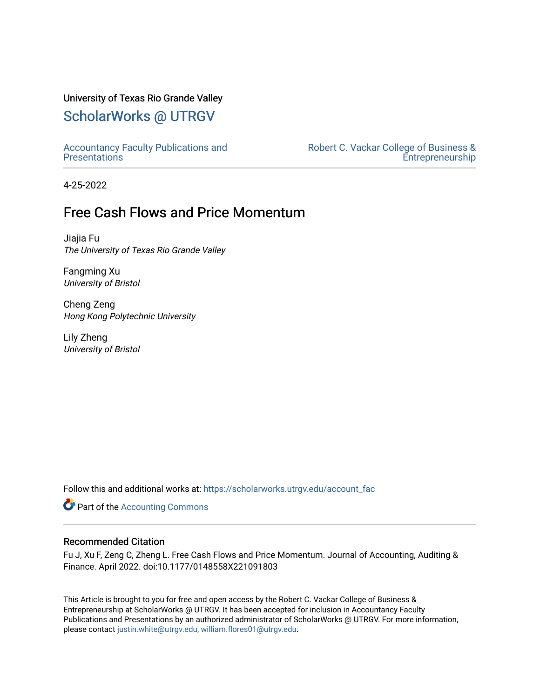# University of Texas Rio Grande Valley

# [ScholarWorks @ UTRGV](https://scholarworks.utrgv.edu/)

[Accountancy Faculty Publications and](https://scholarworks.utrgv.edu/account_fac)  **Presentations** 

[Robert C. Vackar College of Business &](https://scholarworks.utrgv.edu/rcvcbe)  [Entrepreneurship](https://scholarworks.utrgv.edu/rcvcbe) 

4-25-2022

# Free Cash Flows and Price Momentum

Jiajia Fu The University of Texas Rio Grande Valley

Fangming Xu University of Bristol

Cheng Zeng Hong Kong Polytechnic University

Lily Zheng University of Bristol

Follow this and additional works at: [https://scholarworks.utrgv.edu/account\\_fac](https://scholarworks.utrgv.edu/account_fac?utm_source=scholarworks.utrgv.edu%2Faccount_fac%2F21&utm_medium=PDF&utm_campaign=PDFCoverPages)

**Part of the [Accounting Commons](http://network.bepress.com/hgg/discipline/625?utm_source=scholarworks.utrgv.edu%2Faccount_fac%2F21&utm_medium=PDF&utm_campaign=PDFCoverPages)** 

#### Recommended Citation

Fu J, Xu F, Zeng C, Zheng L. Free Cash Flows and Price Momentum. Journal of Accounting, Auditing & Finance. April 2022. doi:10.1177/0148558X221091803

This Article is brought to you for free and open access by the Robert C. Vackar College of Business & Entrepreneurship at ScholarWorks @ UTRGV. It has been accepted for inclusion in Accountancy Faculty Publications and Presentations by an authorized administrator of ScholarWorks @ UTRGV. For more information, please contact [justin.white@utrgv.edu, william.flores01@utrgv.edu](mailto:justin.white@utrgv.edu,%20william.flores01@utrgv.edu).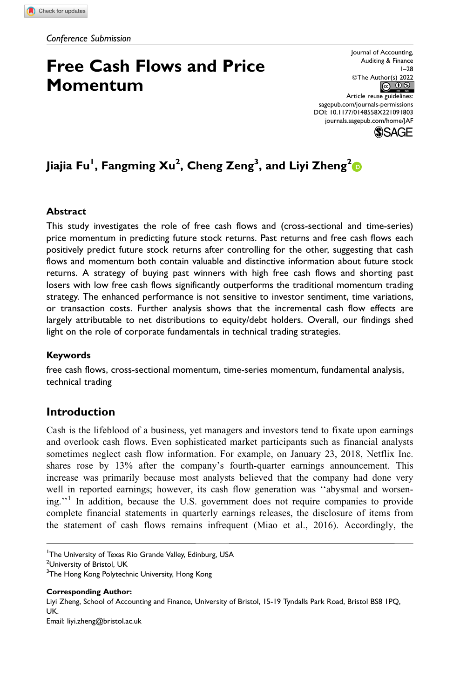# Free Cash Flows and Price Momentum

Journal of Accounting, Auditing & Finance 1–28 ©The Aut<u>hor(s)</u> 2022 Article reuse guidelines: sagepub.com/journals-permissions [DOI: 10.1177/0148558X221091803](https://doi.org/10.1177/0148558X221091803) journals.sagepub.com/home/JAF



# Jiajia Fu<sup>l</sup>, Fangming Xu<sup>2</sup>, Cheng Zeng<sup>3</sup>, and Liyi Zheng<sup>2</sup>

#### Abstract

This study investigates the role of free cash flows and (cross-sectional and time-series) price momentum in predicting future stock returns. Past returns and free cash flows each positively predict future stock returns after controlling for the other, suggesting that cash flows and momentum both contain valuable and distinctive information about future stock returns. A strategy of buying past winners with high free cash flows and shorting past losers with low free cash flows significantly outperforms the traditional momentum trading strategy. The enhanced performance is not sensitive to investor sentiment, time variations, or transaction costs. Further analysis shows that the incremental cash flow effects are largely attributable to net distributions to equity/debt holders. Overall, our findings shed light on the role of corporate fundamentals in technical trading strategies.

#### Keywords

free cash flows, cross-sectional momentum, time-series momentum, fundamental analysis, technical trading

#### Introduction

Cash is the lifeblood of a business, yet managers and investors tend to fixate upon earnings and overlook cash flows. Even sophisticated market participants such as financial analysts sometimes neglect cash flow information. For example, on January 23, 2018, Netflix Inc. shares rose by 13% after the company's fourth-quarter earnings announcement. This increase was primarily because most analysts believed that the company had done very well in reported earnings; however, its cash flow generation was ''abysmal and worsening.''<sup>1</sup> In addition, because the U.S. government does not require companies to provide complete financial statements in quarterly earnings releases, the disclosure of items from the statement of cash flows remains infrequent (Miao et al., 2016). Accordingly, the

<sup>1</sup>The University of Texas Rio Grande Valley, Edinburg, USA

Corresponding Author:

Liyi Zheng, School of Accounting and Finance, University of Bristol, 15-19 Tyndalls Park Road, Bristol BS8 1PQ, UK.

Email: liyi.zheng@bristol.ac.uk

<sup>&</sup>lt;sup>2</sup>University of Bristol, UK

<sup>&</sup>lt;sup>3</sup>The Hong Kong Polytechnic University, Hong Kong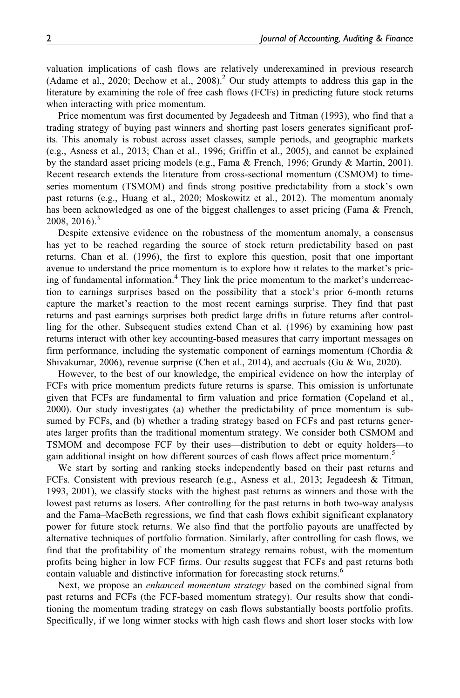valuation implications of cash flows are relatively underexamined in previous research (Adame et al., 2020; Dechow et al., 2008).<sup>2</sup> Our study attempts to address this gap in the literature by examining the role of free cash flows (FCFs) in predicting future stock returns when interacting with price momentum.

Price momentum was first documented by Jegadeesh and Titman (1993), who find that a trading strategy of buying past winners and shorting past losers generates significant profits. This anomaly is robust across asset classes, sample periods, and geographic markets (e.g., Asness et al., 2013; Chan et al., 1996; Griffin et al., 2005), and cannot be explained by the standard asset pricing models (e.g., Fama & French, 1996; Grundy & Martin, 2001). Recent research extends the literature from cross-sectional momentum (CSMOM) to timeseries momentum (TSMOM) and finds strong positive predictability from a stock's own past returns (e.g., Huang et al., 2020; Moskowitz et al., 2012). The momentum anomaly has been acknowledged as one of the biggest challenges to asset pricing (Fama & French,  $2008, 2016$ .<sup>3</sup>

Despite extensive evidence on the robustness of the momentum anomaly, a consensus has yet to be reached regarding the source of stock return predictability based on past returns. Chan et al. (1996), the first to explore this question, posit that one important avenue to understand the price momentum is to explore how it relates to the market's pricing of fundamental information.<sup>4</sup> They link the price momentum to the market's underreaction to earnings surprises based on the possibility that a stock's prior 6-month returns capture the market's reaction to the most recent earnings surprise. They find that past returns and past earnings surprises both predict large drifts in future returns after controlling for the other. Subsequent studies extend Chan et al. (1996) by examining how past returns interact with other key accounting-based measures that carry important messages on firm performance, including the systematic component of earnings momentum (Chordia  $\&$ Shivakumar, 2006), revenue surprise (Chen et al., 2014), and accruals (Gu & Wu, 2020).

However, to the best of our knowledge, the empirical evidence on how the interplay of FCFs with price momentum predicts future returns is sparse. This omission is unfortunate given that FCFs are fundamental to firm valuation and price formation (Copeland et al., 2000). Our study investigates (a) whether the predictability of price momentum is subsumed by FCFs, and (b) whether a trading strategy based on FCFs and past returns generates larger profits than the traditional momentum strategy. We consider both CSMOM and TSMOM and decompose FCF by their uses—distribution to debt or equity holders—to gain additional insight on how different sources of cash flows affect price momentum.<sup>5</sup>

We start by sorting and ranking stocks independently based on their past returns and FCFs. Consistent with previous research (e.g., Asness et al., 2013; Jegadeesh & Titman, 1993, 2001), we classify stocks with the highest past returns as winners and those with the lowest past returns as losers. After controlling for the past returns in both two-way analysis and the Fama–MacBeth regressions, we find that cash flows exhibit significant explanatory power for future stock returns. We also find that the portfolio payouts are unaffected by alternative techniques of portfolio formation. Similarly, after controlling for cash flows, we find that the profitability of the momentum strategy remains robust, with the momentum profits being higher in low FCF firms. Our results suggest that FCFs and past returns both contain valuable and distinctive information for forecasting stock returns.<sup>6</sup>

Next, we propose an *enhanced momentum strategy* based on the combined signal from past returns and FCFs (the FCF-based momentum strategy). Our results show that conditioning the momentum trading strategy on cash flows substantially boosts portfolio profits. Specifically, if we long winner stocks with high cash flows and short loser stocks with low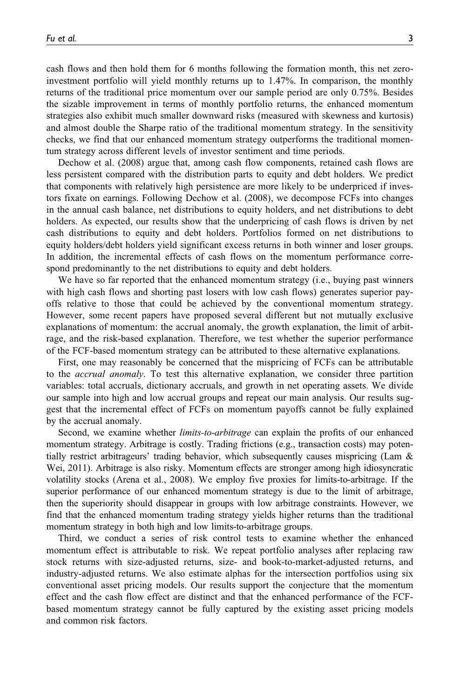cash flows and then hold them for 6 months following the formation month, this net zeroinvestment portfolio will yield monthly returns up to 1.47%. In comparison, the monthly returns of the traditional price momentum over our sample period are only 0.75%. Besides the sizable improvement in terms of monthly portfolio returns, the enhanced momentum strategies also exhibit much smaller downward risks (measured with skewness and kurtosis) and almost double the Sharpe ratio of the traditional momentum strategy. In the sensitivity checks, we find that our enhanced momentum strategy outperforms the traditional momentum strategy across different levels of investor sentiment and time periods.

Dechow et al. (2008) argue that, among cash flow components, retained cash flows are less persistent compared with the distribution parts to equity and debt holders. We predict that components with relatively high persistence are more likely to be underpriced if investors fixate on earnings. Following Dechow et al. (2008), we decompose FCFs into changes in the annual cash balance, net distributions to equity holders, and net distributions to debt holders. As expected, our results show that the underpricing of cash flows is driven by net cash distributions to equity and debt holders. Portfolios formed on net distributions to equity holders/debt holders yield significant excess returns in both winner and loser groups. In addition, the incremental effects of cash flows on the momentum performance correspond predominantly to the net distributions to equity and debt holders.

We have so far reported that the enhanced momentum strategy (i.e., buying past winners with high cash flows and shorting past losers with low cash flows) generates superior payoffs relative to those that could be achieved by the conventional momentum strategy. However, some recent papers have proposed several different but not mutually exclusive explanations of momentum: the accrual anomaly, the growth explanation, the limit of arbitrage, and the risk-based explanation. Therefore, we test whether the superior performance of the FCF-based momentum strategy can be attributed to these alternative explanations.

First, one may reasonably be concerned that the mispricing of FCFs can be attributable to the accrual anomaly. To test this alternative explanation, we consider three partition variables: total accruals, dictionary accruals, and growth in net operating assets. We divide our sample into high and low accrual groups and repeat our main analysis. Our results suggest that the incremental effect of FCFs on momentum payoffs cannot be fully explained by the accrual anomaly.

Second, we examine whether *limits-to-arbitrage* can explain the profits of our enhanced momentum strategy. Arbitrage is costly. Trading frictions (e.g., transaction costs) may potentially restrict arbitrageurs' trading behavior, which subsequently causes mispricing (Lam & Wei, 2011). Arbitrage is also risky. Momentum effects are stronger among high idiosyncratic volatility stocks (Arena et al., 2008). We employ five proxies for limits-to-arbitrage. If the superior performance of our enhanced momentum strategy is due to the limit of arbitrage, then the superiority should disappear in groups with low arbitrage constraints. However, we find that the enhanced momentum trading strategy yields higher returns than the traditional momentum strategy in both high and low limits-to-arbitrage groups.

Third, we conduct a series of risk control tests to examine whether the enhanced momentum effect is attributable to risk. We repeat portfolio analyses after replacing raw stock returns with size-adjusted returns, size- and book-to-market-adjusted returns, and industry-adjusted returns. We also estimate alphas for the intersection portfolios using six conventional asset pricing models. Our results support the conjecture that the momentum effect and the cash flow effect are distinct and that the enhanced performance of the FCFbased momentum strategy cannot be fully captured by the existing asset pricing models and common risk factors.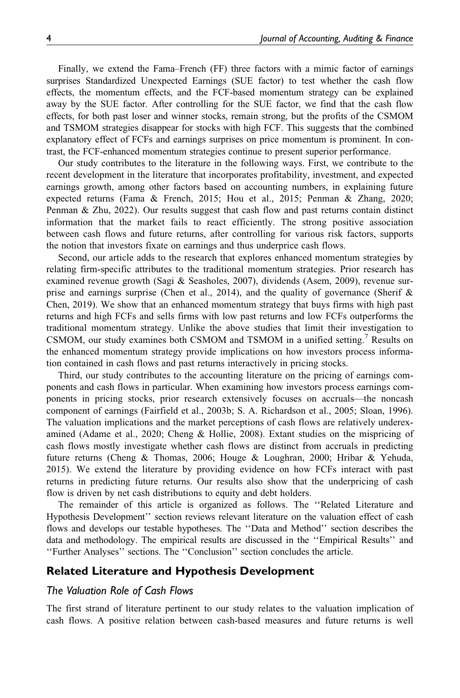Finally, we extend the Fama–French (FF) three factors with a mimic factor of earnings surprises Standardized Unexpected Earnings (SUE factor) to test whether the cash flow effects, the momentum effects, and the FCF-based momentum strategy can be explained away by the SUE factor. After controlling for the SUE factor, we find that the cash flow effects, for both past loser and winner stocks, remain strong, but the profits of the CSMOM and TSMOM strategies disappear for stocks with high FCF. This suggests that the combined explanatory effect of FCFs and earnings surprises on price momentum is prominent. In contrast, the FCF-enhanced momentum strategies continue to present superior performance.

Our study contributes to the literature in the following ways. First, we contribute to the recent development in the literature that incorporates profitability, investment, and expected earnings growth, among other factors based on accounting numbers, in explaining future expected returns (Fama & French, 2015; Hou et al., 2015; Penman & Zhang, 2020; Penman & Zhu, 2022). Our results suggest that cash flow and past returns contain distinct information that the market fails to react efficiently. The strong positive association between cash flows and future returns, after controlling for various risk factors, supports the notion that investors fixate on earnings and thus underprice cash flows.

Second, our article adds to the research that explores enhanced momentum strategies by relating firm-specific attributes to the traditional momentum strategies. Prior research has examined revenue growth (Sagi & Seasholes, 2007), dividends (Asem, 2009), revenue surprise and earnings surprise (Chen et al., 2014), and the quality of governance (Sherif  $\&$ Chen, 2019). We show that an enhanced momentum strategy that buys firms with high past returns and high FCFs and sells firms with low past returns and low FCFs outperforms the traditional momentum strategy. Unlike the above studies that limit their investigation to CSMOM, our study examines both CSMOM and TSMOM in a unified setting.<sup>7</sup> Results on the enhanced momentum strategy provide implications on how investors process information contained in cash flows and past returns interactively in pricing stocks.

Third, our study contributes to the accounting literature on the pricing of earnings components and cash flows in particular. When examining how investors process earnings components in pricing stocks, prior research extensively focuses on accruals—the noncash component of earnings (Fairfield et al., 2003b; S. A. Richardson et al., 2005; Sloan, 1996). The valuation implications and the market perceptions of cash flows are relatively underexamined (Adame et al., 2020; Cheng & Hollie, 2008). Extant studies on the mispricing of cash flows mostly investigate whether cash flows are distinct from accruals in predicting future returns (Cheng & Thomas, 2006; Houge & Loughran, 2000; Hribar & Yehuda, 2015). We extend the literature by providing evidence on how FCFs interact with past returns in predicting future returns. Our results also show that the underpricing of cash flow is driven by net cash distributions to equity and debt holders.

The remainder of this article is organized as follows. The ''Related Literature and Hypothesis Development'' section reviews relevant literature on the valuation effect of cash flows and develops our testable hypotheses. The ''Data and Method'' section describes the data and methodology. The empirical results are discussed in the ''Empirical Results'' and ''Further Analyses'' sections. The ''Conclusion'' section concludes the article.

#### Related Literature and Hypothesis Development

#### The Valuation Role of Cash Flows

The first strand of literature pertinent to our study relates to the valuation implication of cash flows. A positive relation between cash-based measures and future returns is well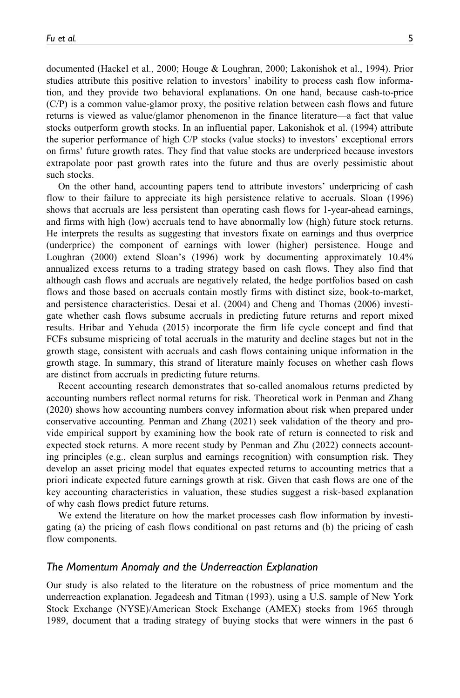documented (Hackel et al., 2000; Houge & Loughran, 2000; Lakonishok et al., 1994). Prior studies attribute this positive relation to investors' inability to process cash flow information, and they provide two behavioral explanations. On one hand, because cash-to-price (C/P) is a common value-glamor proxy, the positive relation between cash flows and future returns is viewed as value/glamor phenomenon in the finance literature—a fact that value stocks outperform growth stocks. In an influential paper, Lakonishok et al. (1994) attribute the superior performance of high C/P stocks (value stocks) to investors' exceptional errors on firms' future growth rates. They find that value stocks are underpriced because investors extrapolate poor past growth rates into the future and thus are overly pessimistic about such stocks.

On the other hand, accounting papers tend to attribute investors' underpricing of cash flow to their failure to appreciate its high persistence relative to accruals. Sloan (1996) shows that accruals are less persistent than operating cash flows for 1-year-ahead earnings, and firms with high (low) accruals tend to have abnormally low (high) future stock returns. He interprets the results as suggesting that investors fixate on earnings and thus overprice (underprice) the component of earnings with lower (higher) persistence. Houge and Loughran (2000) extend Sloan's (1996) work by documenting approximately 10.4% annualized excess returns to a trading strategy based on cash flows. They also find that although cash flows and accruals are negatively related, the hedge portfolios based on cash flows and those based on accruals contain mostly firms with distinct size, book-to-market, and persistence characteristics. Desai et al. (2004) and Cheng and Thomas (2006) investigate whether cash flows subsume accruals in predicting future returns and report mixed results. Hribar and Yehuda (2015) incorporate the firm life cycle concept and find that FCFs subsume mispricing of total accruals in the maturity and decline stages but not in the growth stage, consistent with accruals and cash flows containing unique information in the growth stage. In summary, this strand of literature mainly focuses on whether cash flows are distinct from accruals in predicting future returns.

Recent accounting research demonstrates that so-called anomalous returns predicted by accounting numbers reflect normal returns for risk. Theoretical work in Penman and Zhang (2020) shows how accounting numbers convey information about risk when prepared under conservative accounting. Penman and Zhang (2021) seek validation of the theory and provide empirical support by examining how the book rate of return is connected to risk and expected stock returns. A more recent study by Penman and Zhu (2022) connects accounting principles (e.g., clean surplus and earnings recognition) with consumption risk. They develop an asset pricing model that equates expected returns to accounting metrics that a priori indicate expected future earnings growth at risk. Given that cash flows are one of the key accounting characteristics in valuation, these studies suggest a risk-based explanation of why cash flows predict future returns.

We extend the literature on how the market processes cash flow information by investigating (a) the pricing of cash flows conditional on past returns and (b) the pricing of cash flow components.

#### The Momentum Anomaly and the Underreaction Explanation

Our study is also related to the literature on the robustness of price momentum and the underreaction explanation. Jegadeesh and Titman (1993), using a U.S. sample of New York Stock Exchange (NYSE)/American Stock Exchange (AMEX) stocks from 1965 through 1989, document that a trading strategy of buying stocks that were winners in the past 6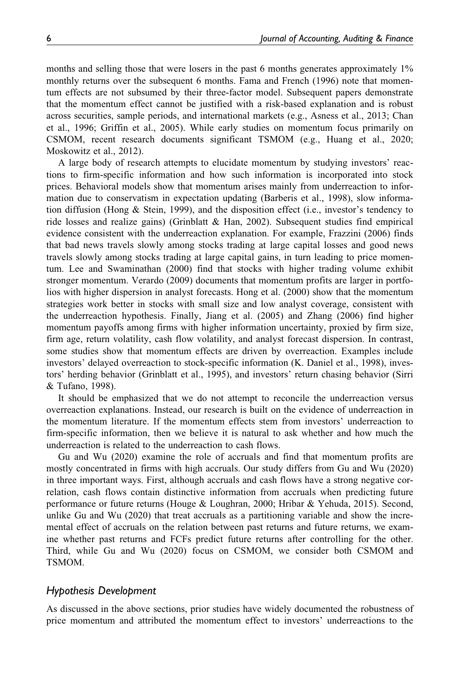months and selling those that were losers in the past 6 months generates approximately 1% monthly returns over the subsequent 6 months. Fama and French (1996) note that momentum effects are not subsumed by their three-factor model. Subsequent papers demonstrate that the momentum effect cannot be justified with a risk-based explanation and is robust across securities, sample periods, and international markets (e.g., Asness et al., 2013; Chan et al., 1996; Griffin et al., 2005). While early studies on momentum focus primarily on CSMOM, recent research documents significant TSMOM (e.g., Huang et al., 2020; Moskowitz et al., 2012).

A large body of research attempts to elucidate momentum by studying investors' reactions to firm-specific information and how such information is incorporated into stock prices. Behavioral models show that momentum arises mainly from underreaction to information due to conservatism in expectation updating (Barberis et al., 1998), slow information diffusion (Hong & Stein, 1999), and the disposition effect (i.e., investor's tendency to ride losses and realize gains) (Grinblatt & Han, 2002). Subsequent studies find empirical evidence consistent with the underreaction explanation. For example, Frazzini (2006) finds that bad news travels slowly among stocks trading at large capital losses and good news travels slowly among stocks trading at large capital gains, in turn leading to price momentum. Lee and Swaminathan (2000) find that stocks with higher trading volume exhibit stronger momentum. Verardo (2009) documents that momentum profits are larger in portfolios with higher dispersion in analyst forecasts. Hong et al. (2000) show that the momentum strategies work better in stocks with small size and low analyst coverage, consistent with the underreaction hypothesis. Finally, Jiang et al. (2005) and Zhang (2006) find higher momentum payoffs among firms with higher information uncertainty, proxied by firm size, firm age, return volatility, cash flow volatility, and analyst forecast dispersion. In contrast, some studies show that momentum effects are driven by overreaction. Examples include investors' delayed overreaction to stock-specific information (K. Daniel et al., 1998), investors' herding behavior (Grinblatt et al., 1995), and investors' return chasing behavior (Sirri & Tufano, 1998).

It should be emphasized that we do not attempt to reconcile the underreaction versus overreaction explanations. Instead, our research is built on the evidence of underreaction in the momentum literature. If the momentum effects stem from investors' underreaction to firm-specific information, then we believe it is natural to ask whether and how much the underreaction is related to the underreaction to cash flows.

Gu and Wu (2020) examine the role of accruals and find that momentum profits are mostly concentrated in firms with high accruals. Our study differs from Gu and Wu (2020) in three important ways. First, although accruals and cash flows have a strong negative correlation, cash flows contain distinctive information from accruals when predicting future performance or future returns (Houge & Loughran, 2000; Hribar & Yehuda, 2015). Second, unlike Gu and Wu (2020) that treat accruals as a partitioning variable and show the incremental effect of accruals on the relation between past returns and future returns, we examine whether past returns and FCFs predict future returns after controlling for the other. Third, while Gu and Wu (2020) focus on CSMOM, we consider both CSMOM and TSMOM.

#### Hypothesis Development

As discussed in the above sections, prior studies have widely documented the robustness of price momentum and attributed the momentum effect to investors' underreactions to the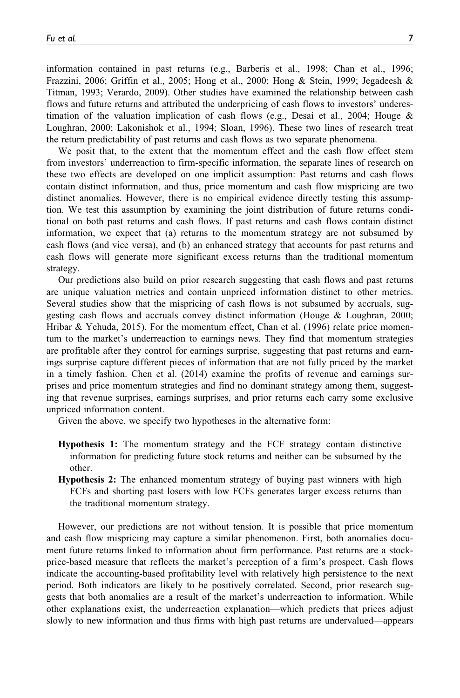information contained in past returns (e.g., Barberis et al., 1998; Chan et al., 1996; Frazzini, 2006; Griffin et al., 2005; Hong et al., 2000; Hong & Stein, 1999; Jegadeesh & Titman, 1993; Verardo, 2009). Other studies have examined the relationship between cash flows and future returns and attributed the underpricing of cash flows to investors' underestimation of the valuation implication of cash flows (e.g., Desai et al., 2004; Houge  $\&$ Loughran, 2000; Lakonishok et al., 1994; Sloan, 1996). These two lines of research treat the return predictability of past returns and cash flows as two separate phenomena.

We posit that, to the extent that the momentum effect and the cash flow effect stem from investors' underreaction to firm-specific information, the separate lines of research on these two effects are developed on one implicit assumption: Past returns and cash flows contain distinct information, and thus, price momentum and cash flow mispricing are two distinct anomalies. However, there is no empirical evidence directly testing this assumption. We test this assumption by examining the joint distribution of future returns conditional on both past returns and cash flows. If past returns and cash flows contain distinct information, we expect that (a) returns to the momentum strategy are not subsumed by cash flows (and vice versa), and (b) an enhanced strategy that accounts for past returns and cash flows will generate more significant excess returns than the traditional momentum strategy.

Our predictions also build on prior research suggesting that cash flows and past returns are unique valuation metrics and contain unpriced information distinct to other metrics. Several studies show that the mispricing of cash flows is not subsumed by accruals, suggesting cash flows and accruals convey distinct information (Houge & Loughran, 2000; Hribar & Yehuda, 2015). For the momentum effect, Chan et al. (1996) relate price momentum to the market's underreaction to earnings news. They find that momentum strategies are profitable after they control for earnings surprise, suggesting that past returns and earnings surprise capture different pieces of information that are not fully priced by the market in a timely fashion. Chen et al. (2014) examine the profits of revenue and earnings surprises and price momentum strategies and find no dominant strategy among them, suggesting that revenue surprises, earnings surprises, and prior returns each carry some exclusive unpriced information content.

Given the above, we specify two hypotheses in the alternative form:

- Hypothesis 1: The momentum strategy and the FCF strategy contain distinctive information for predicting future stock returns and neither can be subsumed by the other.
- Hypothesis 2: The enhanced momentum strategy of buying past winners with high FCFs and shorting past losers with low FCFs generates larger excess returns than the traditional momentum strategy.

However, our predictions are not without tension. It is possible that price momentum and cash flow mispricing may capture a similar phenomenon. First, both anomalies document future returns linked to information about firm performance. Past returns are a stockprice-based measure that reflects the market's perception of a firm's prospect. Cash flows indicate the accounting-based profitability level with relatively high persistence to the next period. Both indicators are likely to be positively correlated. Second, prior research suggests that both anomalies are a result of the market's underreaction to information. While other explanations exist, the underreaction explanation—which predicts that prices adjust slowly to new information and thus firms with high past returns are undervalued—appears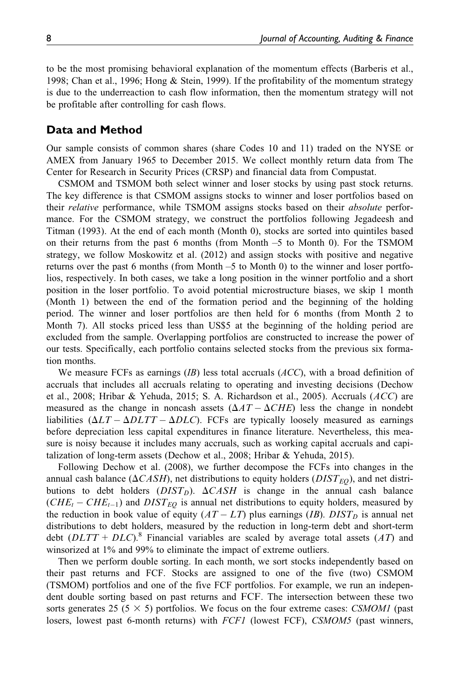to be the most promising behavioral explanation of the momentum effects (Barberis et al., 1998; Chan et al., 1996; Hong & Stein, 1999). If the profitability of the momentum strategy is due to the underreaction to cash flow information, then the momentum strategy will not be profitable after controlling for cash flows.

#### Data and Method

Our sample consists of common shares (share Codes 10 and 11) traded on the NYSE or AMEX from January 1965 to December 2015. We collect monthly return data from The Center for Research in Security Prices (CRSP) and financial data from Compustat.

CSMOM and TSMOM both select winner and loser stocks by using past stock returns. The key difference is that CSMOM assigns stocks to winner and loser portfolios based on their relative performance, while TSMOM assigns stocks based on their absolute performance. For the CSMOM strategy, we construct the portfolios following Jegadeesh and Titman (1993). At the end of each month (Month 0), stocks are sorted into quintiles based on their returns from the past 6 months (from Month –5 to Month 0). For the TSMOM strategy, we follow Moskowitz et al. (2012) and assign stocks with positive and negative returns over the past 6 months (from Month –5 to Month 0) to the winner and loser portfolios, respectively. In both cases, we take a long position in the winner portfolio and a short position in the loser portfolio. To avoid potential microstructure biases, we skip 1 month (Month 1) between the end of the formation period and the beginning of the holding period. The winner and loser portfolios are then held for 6 months (from Month 2 to Month 7). All stocks priced less than US\$5 at the beginning of the holding period are excluded from the sample. Overlapping portfolios are constructed to increase the power of our tests. Specifically, each portfolio contains selected stocks from the previous six formation months.

We measure FCFs as earnings  $(IB)$  less total accruals  $(ACC)$ , with a broad definition of accruals that includes all accruals relating to operating and investing decisions (Dechow et al., 2008; Hribar & Yehuda, 2015; S. A. Richardson et al., 2005). Accruals (ACC) are measured as the change in noncash assets  $(\Delta AT - \Delta CHE)$  less the change in nondebt liabilities ( $\Delta LT - \Delta DLT - \Delta DLC$ ). FCFs are typically loosely measured as earnings before depreciation less capital expenditures in finance literature. Nevertheless, this measure is noisy because it includes many accruals, such as working capital accruals and capitalization of long-term assets (Dechow et al., 2008; Hribar & Yehuda, 2015).

Following Dechow et al. (2008), we further decompose the FCFs into changes in the annual cash balance ( $\Delta CASH$ ), net distributions to equity holders ( $DIST_{EQ}$ ), and net distributions to debt holders  $(DIST<sub>D</sub>)$ .  $\Delta CASH$  is change in the annual cash balance  $(CHE_t - CHE_{t-1})$  and  $DIST_{EQ}$  is annual net distributions to equity holders, measured by the reduction in book value of equity  $(AT - LT)$  plus earnings  $(IB)$ .  $DIST_D$  is annual net distributions to debt holders, measured by the reduction in long-term debt and short-term debt  $(DLTT + DLC)$ .<sup>8</sup> Financial variables are scaled by average total assets (AT) and winsorized at 1% and 99% to eliminate the impact of extreme outliers.

Then we perform double sorting. In each month, we sort stocks independently based on their past returns and FCF. Stocks are assigned to one of the five (two) CSMOM (TSMOM) portfolios and one of the five FCF portfolios. For example, we run an independent double sorting based on past returns and FCF. The intersection between these two sorts generates 25 (5  $\times$  5) portfolios. We focus on the four extreme cases: CSMOM1 (past losers, lowest past 6-month returns) with *FCF1* (lowest FCF), *CSMOM5* (past winners,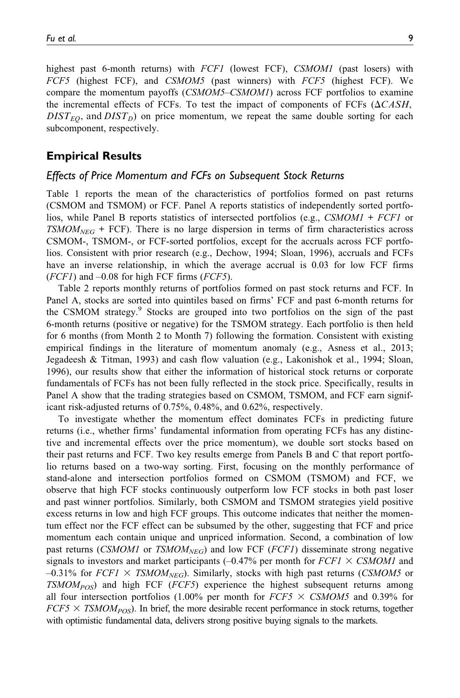highest past 6-month returns) with *FCF1* (lowest FCF), *CSMOM1* (past losers) with FCF5 (highest FCF), and CSMOM5 (past winners) with FCF5 (highest FCF). We compare the momentum payoffs (CSMOM5–CSMOM1) across FCF portfolios to examine the incremental effects of FCFs. To test the impact of components of FCFs  $(\Delta CASH,$  $DIST_{EO}$ , and  $DIST_D$ ) on price momentum, we repeat the same double sorting for each subcomponent, respectively.

## Empirical Results

#### Effects of Price Momentum and FCFs on Subsequent Stock Returns

Table 1 reports the mean of the characteristics of portfolios formed on past returns (CSMOM and TSMOM) or FCF. Panel A reports statistics of independently sorted portfolios, while Panel B reports statistics of intersected portfolios (e.g., CSMOM1 + FCF1 or  $TSMOM<sub>NEG</sub> + FCF$ ). There is no large dispersion in terms of firm characteristics across CSMOM-, TSMOM-, or FCF-sorted portfolios, except for the accruals across FCF portfolios. Consistent with prior research (e.g., Dechow, 1994; Sloan, 1996), accruals and FCFs have an inverse relationship, in which the average accrual is 0.03 for low FCF firms  $(FCFI)$  and  $-0.08$  for high FCF firms  $(FCF5)$ .

Table 2 reports monthly returns of portfolios formed on past stock returns and FCF. In Panel A, stocks are sorted into quintiles based on firms' FCF and past 6-month returns for the CSMOM strategy.<sup>9</sup> Stocks are grouped into two portfolios on the sign of the past 6-month returns (positive or negative) for the TSMOM strategy. Each portfolio is then held for 6 months (from Month 2 to Month 7) following the formation. Consistent with existing empirical findings in the literature of momentum anomaly (e.g., Asness et al., 2013; Jegadeesh & Titman, 1993) and cash flow valuation (e.g., Lakonishok et al., 1994; Sloan, 1996), our results show that either the information of historical stock returns or corporate fundamentals of FCFs has not been fully reflected in the stock price. Specifically, results in Panel A show that the trading strategies based on CSMOM, TSMOM, and FCF earn significant risk-adjusted returns of 0.75%, 0.48%, and 0.62%, respectively.

To investigate whether the momentum effect dominates FCFs in predicting future returns (i.e., whether firms' fundamental information from operating FCFs has any distinctive and incremental effects over the price momentum), we double sort stocks based on their past returns and FCF. Two key results emerge from Panels B and C that report portfolio returns based on a two-way sorting. First, focusing on the monthly performance of stand-alone and intersection portfolios formed on CSMOM (TSMOM) and FCF, we observe that high FCF stocks continuously outperform low FCF stocks in both past loser and past winner portfolios. Similarly, both CSMOM and TSMOM strategies yield positive excess returns in low and high FCF groups. This outcome indicates that neither the momentum effect nor the FCF effect can be subsumed by the other, suggesting that FCF and price momentum each contain unique and unpriced information. Second, a combination of low past returns (CSMOM1 or TSMOM<sub>NEG</sub>) and low FCF (FCF1) disseminate strong negative signals to investors and market participants  $(-0.47\%$  per month for  $FCFI \times CSMOM1$  and  $-0.31\%$  for  $FCF1 \times TSMOM_{NEG}$ ). Similarly, stocks with high past returns (CSMOM5 or  $TSMOM<sub>POS</sub>$ ) and high FCF (*FCF5*) experience the highest subsequent returns among all four intersection portfolios (1.00% per month for  $FCF5 \times CSMOM5$  and 0.39% for  $FCF5 \times TSMOM<sub>POS</sub>$ . In brief, the more desirable recent performance in stock returns, together with optimistic fundamental data, delivers strong positive buying signals to the markets.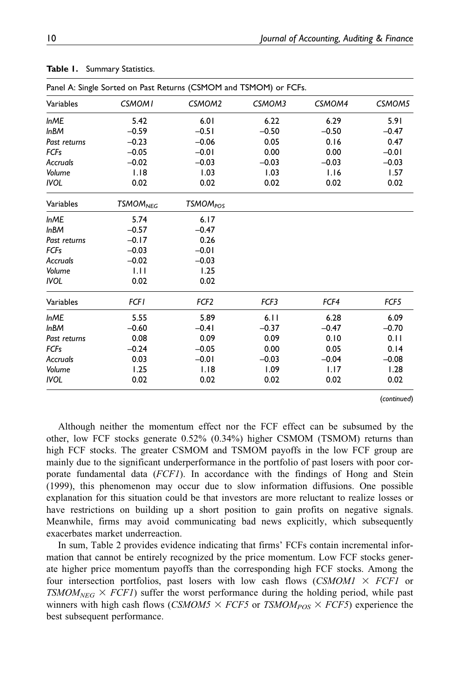| Panel A: Single Sorted on Past Returns (CSMOM and TSMOM) or FCFs. |                            |                            |         |         |         |  |  |  |  |
|-------------------------------------------------------------------|----------------------------|----------------------------|---------|---------|---------|--|--|--|--|
| Variables                                                         | <b>CSMOMI</b>              | CSMOM2                     | CSMOM3  | CSMOM4  | CSMOM5  |  |  |  |  |
| <b>InME</b>                                                       | 5.42                       | 6.01                       | 6.22    | 6.29    | 5.91    |  |  |  |  |
| <b>InBM</b>                                                       | $-0.59$                    | $-0.51$                    | $-0.50$ | $-0.50$ | $-0.47$ |  |  |  |  |
| Past returns                                                      | $-0.23$                    | $-0.06$                    | 0.05    | 0.16    | 0.47    |  |  |  |  |
| <b>FCFs</b>                                                       | $-0.05$                    | $-0.01$                    | 0.00    | 0.00    | $-0.01$ |  |  |  |  |
| Accruals                                                          | $-0.02$                    | $-0.03$                    | $-0.03$ | $-0.03$ | $-0.03$ |  |  |  |  |
| Volume                                                            | 1.18                       | 1.03                       | 1.03    | 1.16    | 1.57    |  |  |  |  |
| <b>IVOL</b>                                                       | 0.02                       | 0.02                       | 0.02    | 0.02    | 0.02    |  |  |  |  |
| Variables                                                         | <b>TSMOM<sub>NEG</sub></b> | <b>TSMOM<sub>POS</sub></b> |         |         |         |  |  |  |  |
| <b>InME</b>                                                       | 5.74                       | 6.17                       |         |         |         |  |  |  |  |
| <b>InBM</b>                                                       | $-0.57$                    | $-0.47$                    |         |         |         |  |  |  |  |
| Past returns                                                      | $-0.17$                    | 0.26                       |         |         |         |  |  |  |  |
| <b>FCFs</b>                                                       | $-0.03$                    | $-0.01$                    |         |         |         |  |  |  |  |
| Accruals                                                          | $-0.02$                    | $-0.03$                    |         |         |         |  |  |  |  |
| Volume                                                            | 1.11                       | 1.25                       |         |         |         |  |  |  |  |
| <b>IVOL</b>                                                       | 0.02                       | 0.02                       |         |         |         |  |  |  |  |
| Variables                                                         | <b>FCF1</b>                | FCF <sub>2</sub>           | FCF3    | FCF4    | FCF5    |  |  |  |  |
| <b>InME</b>                                                       | 5.55                       | 5.89                       | 6.11    | 6.28    | 6.09    |  |  |  |  |
| <b>InBM</b>                                                       | $-0.60$                    | $-0.41$                    | $-0.37$ | $-0.47$ | $-0.70$ |  |  |  |  |
| Past returns                                                      | 0.08                       | 0.09                       | 0.09    | 0.10    | 0.11    |  |  |  |  |
| <b>FCFs</b>                                                       | $-0.24$                    | $-0.05$                    | 0.00    | 0.05    | 0.14    |  |  |  |  |
| Accruals                                                          | 0.03                       | $-0.01$                    | $-0.03$ | $-0.04$ | $-0.08$ |  |  |  |  |
| Volume                                                            | 1.25                       | 1.18                       | 1.09    | 1.17    | 1.28    |  |  |  |  |
| <b>IVOL</b>                                                       | 0.02                       | 0.02                       | 0.02    | 0.02    | 0.02    |  |  |  |  |

#### Table 1. Summary Statistics.

(continued)

Although neither the momentum effect nor the FCF effect can be subsumed by the other, low FCF stocks generate 0.52% (0.34%) higher CSMOM (TSMOM) returns than high FCF stocks. The greater CSMOM and TSMOM payoffs in the low FCF group are mainly due to the significant underperformance in the portfolio of past losers with poor corporate fundamental data (FCF1). In accordance with the findings of Hong and Stein (1999), this phenomenon may occur due to slow information diffusions. One possible explanation for this situation could be that investors are more reluctant to realize losses or have restrictions on building up a short position to gain profits on negative signals. Meanwhile, firms may avoid communicating bad news explicitly, which subsequently exacerbates market underreaction.

In sum, Table 2 provides evidence indicating that firms' FCFs contain incremental information that cannot be entirely recognized by the price momentum. Low FCF stocks generate higher price momentum payoffs than the corresponding high FCF stocks. Among the four intersection portfolios, past losers with low cash flows (CSMOM1  $\times$  FCF1 or TSMOM<sub>NEG</sub>  $\times$  FCF1) suffer the worst performance during the holding period, while past winners with high cash flows (CSMOM5  $\times$  FCF5 or TSMOM<sub>POS</sub>  $\times$  FCF5) experience the best subsequent performance.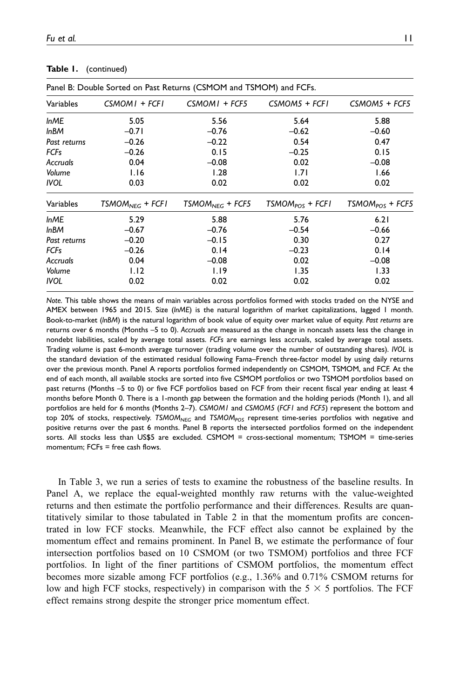|              |                              | Panel B: Double Sorted on Past Returns (CSMOM and TSMOM) and FCFs. |                   |                   |
|--------------|------------------------------|--------------------------------------------------------------------|-------------------|-------------------|
| Variables    | $CSMOMI + FCFI$              | $CSMOMI + FCF5$                                                    | $CSMOM5 + FCFI$   | $CSMOM5 + FCF5$   |
| IME          | 5.05                         | 5.56                                                               | 5.64              | 5.88              |
| <b>InBM</b>  | $-0.71$                      | $-0.76$                                                            | $-0.62$           | $-0.60$           |
| Past returns | $-0.26$                      | $-0.22$                                                            | 0.54              | 0.47              |
| <b>FCFs</b>  | $-0.26$                      | 0.15                                                               | $-0.25$           | 0.15              |
| Accruals     | 0.04                         | $-0.08$                                                            | 0.02              | $-0.08$           |
| Volume       | 1.16                         | 1.28                                                               | 1.71              | 1.66              |
| <b>IVOL</b>  | 0.03                         | 0.02                                                               | 0.02              | 0.02              |
| Variables    | TSMOM <sub>NEG</sub> + FCF I | TSMOM <sub>NEG</sub> + FCF5                                        | $TSMOMPOS + FCFI$ | $TSMOMPOS + FCF5$ |
| IME          | 5.29                         | 5.88                                                               | 5.76              | 6.21              |
| <b>InBM</b>  | $-0.67$                      | $-0.76$                                                            | $-0.54$           | $-0.66$           |
| Past returns | $-0.20$                      | $-0.15$                                                            | 0.30              | 0.27              |
| <b>FCFs</b>  | $-0.26$                      | 0.14                                                               | $-0.23$           | 0.14              |
|              |                              |                                                                    |                   |                   |
| Accruals     | 0.04                         | $-0.08$                                                            | 0.02              | $-0.08$           |
| Volume       | 1.12                         | 1.19                                                               | 1.35              | 1.33              |

#### Table 1. (continued)

Note. This table shows the means of main variables across portfolios formed with stocks traded on the NYSE and AMEX between 1965 and 2015. Size (lnME) is the natural logarithm of market capitalizations, lagged 1 month. Book-to-market (lnBM) is the natural logarithm of book value of equity over market value of equity. Past returns are returns over 6 months (Months –5 to 0). Accruals are measured as the change in noncash assets less the change in nondebt liabilities, scaled by average total assets. FCFs are earnings less accruals, scaled by average total assets. Trading volume is past 6-month average turnover (trading volume over the number of outstanding shares). IVOL is the standard deviation of the estimated residual following Fama–French three-factor model by using daily returns over the previous month. Panel A reports portfolios formed independently on CSMOM, TSMOM, and FCF. At the end of each month, all available stocks are sorted into five CSMOM portfolios or two TSMOM portfolios based on past returns (Months –5 to 0) or five FCF portfolios based on FCF from their recent fiscal year ending at least 4 months before Month 0. There is a 1-month gap between the formation and the holding periods (Month 1), and all portfolios are held for 6 months (Months 2-7). CSMOM1 and CSMOM5 (FCF1 and FCF5) represent the bottom and top 20% of stocks, respectively. TSMOM<sub>NEG</sub> and TSMOM<sub>POS</sub> represent time-series portfolios with negative and positive returns over the past 6 months. Panel B reports the intersected portfolios formed on the independent sorts. All stocks less than US\$5 are excluded. CSMOM = cross-sectional momentum; TSMOM = time-series momentum; FCFs = free cash flows.

In Table 3, we run a series of tests to examine the robustness of the baseline results. In Panel A, we replace the equal-weighted monthly raw returns with the value-weighted returns and then estimate the portfolio performance and their differences. Results are quantitatively similar to those tabulated in Table 2 in that the momentum profits are concentrated in low FCF stocks. Meanwhile, the FCF effect also cannot be explained by the momentum effect and remains prominent. In Panel B, we estimate the performance of four intersection portfolios based on 10 CSMOM (or two TSMOM) portfolios and three FCF portfolios. In light of the finer partitions of CSMOM portfolios, the momentum effect becomes more sizable among FCF portfolios (e.g., 1.36% and 0.71% CSMOM returns for low and high FCF stocks, respectively) in comparison with the  $5 \times 5$  portfolios. The FCF effect remains strong despite the stronger price momentum effect.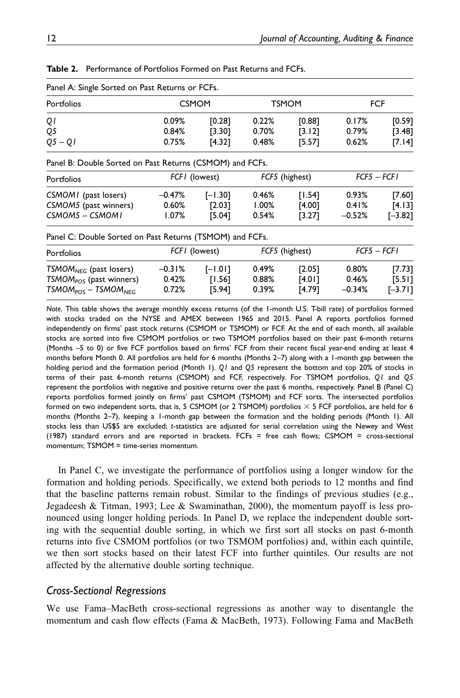| Panel A: Single Sorted on Past Returns or FCFs.                                             |                            |                                 |                               |                            |                            |                               |
|---------------------------------------------------------------------------------------------|----------------------------|---------------------------------|-------------------------------|----------------------------|----------------------------|-------------------------------|
| Portfolios                                                                                  | <b>CSMOM</b>               |                                 |                               | <b>TSMOM</b>               | <b>FCF</b>                 |                               |
| QI<br>Q5<br>$Q_5 - Q_1$                                                                     | $0.09\%$<br>0.84%<br>0.75% | [0.28]<br>[3.30]<br>[4.32]      | 0.22%<br>0.70%<br>0.48%       | [0.88]<br>[3.12]<br>[5.57] | 0.17%<br>0.79%<br>0.62%    | [0.59]<br>[3.48]<br>[7.14]    |
| Panel B: Double Sorted on Past Returns (CSMOM) and FCFs.                                    |                            |                                 |                               |                            |                            |                               |
| Portfolios                                                                                  |                            | FCFI (lowest)                   | FCF5 (highest)                |                            | FCF5 - FCF1                |                               |
| CSMOMI (past losers)<br>CSMOM5 (past winners)<br>CSMOM5 - CSMOM1                            | -0.47%<br>0.60%<br>1.07%   | $[-1.30]$<br>[2.03]<br>[5.04]   | 0.46%<br>$1.00\%$<br>0.54%    | [1.54]<br>[4.00]<br>[3.27] | 0.93%<br>0.41%<br>$-0.52%$ | [7.60]<br>[4.13]<br>$[-3.82]$ |
| Panel C: Double Sorted on Past Returns (TSMOM) and FCFs.                                    |                            |                                 |                               |                            |                            |                               |
| Portfolios                                                                                  |                            | FCFI (lowest)                   |                               | FCF5 (highest)             | $FCF5 - FCF1$              |                               |
| TSMOM <sub>NEG</sub> (past losers)<br>$TSMOM_{POS}$ (past winners)<br>$TSMOMPOS - TSMOMNFG$ | $-0.31%$<br>0.42%<br>0.72% | $[-1.01]$<br>$[1.56]$<br>[5.94] | $0.49\%$<br>$0.88\%$<br>0.39% | [2.05]<br>[4.01]<br>[4.79] | 0.80%<br>0.46%<br>$-0.34%$ | [7.73]<br>[5.5]<br>$[-3.71]$  |

Table 2. Performance of Portfolios Formed on Past Returns and FCFs.

Note. This table shows the average monthly excess returns (of the 1-month U.S. T-bill rate) of portfolios formed with stocks traded on the NYSE and AMEX between 1965 and 2015. Panel A reports portfolios formed independently on firms' past stock returns (CSMOM or TSMOM) or FCF. At the end of each month, all available stocks are sorted into five CSMOM portfolios or two TSMOM portfolios based on their past 6-month returns (Months –5 to 0) or five FCF portfolios based on firms' FCF from their recent fiscal year-end ending at least 4 months before Month 0. All portfolios are held for 6 months (Months 2–7) along with a 1-month gap between the holding period and the formation period (Month 1). Q1 and Q5 represent the bottom and top 20% of stocks in terms of their past 6-month returns (CSMOM) and FCF, respectively. For TSMOM portfolios, Q1 and Q5 represent the portfolios with negative and positive returns over the past 6 months, respectively. Panel B (Panel C) reports portfolios formed jointly on firms' past CSMOM (TSMOM) and FCF sorts. The intersected portfolios formed on two independent sorts, that is, 5 CSMOM (or 2 TSMOM) portfolios  $\times$  5 FCF portfolios, are held for 6 months (Months 2–7), keeping a 1-month gap between the formation and the holding periods (Month 1). All stocks less than US\$5 are excluded; t-statistics are adjusted for serial correlation using the Newey and West (1987) standard errors and are reported in brackets. FCFs = free cash flows; CSMOM = cross-sectional momentum; TSMOM = time-series momentum.

In Panel C, we investigate the performance of portfolios using a longer window for the formation and holding periods. Specifically, we extend both periods to 12 months and find that the baseline patterns remain robust. Similar to the findings of previous studies (e.g., Jegadeesh & Titman, 1993; Lee & Swaminathan, 2000), the momentum payoff is less pronounced using longer holding periods. In Panel D, we replace the independent double sorting with the sequential double sorting, in which we first sort all stocks on past 6-month returns into five CSMOM portfolios (or two TSMOM portfolios) and, within each quintile, we then sort stocks based on their latest FCF into further quintiles. Our results are not affected by the alternative double sorting technique.

#### Cross-Sectional Regressions

We use Fama–MacBeth cross-sectional regressions as another way to disentangle the momentum and cash flow effects (Fama & MacBeth, 1973). Following Fama and MacBeth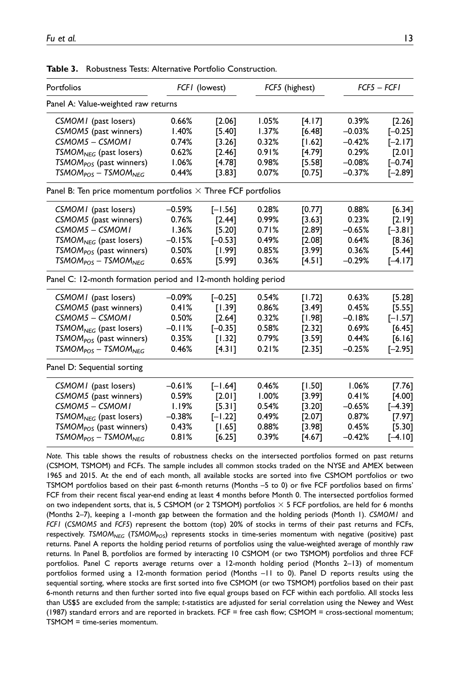| Portfolios                                                           |          | FCFI (lowest) | FCF5 (highest) |          |          | $FCF5 - FCF1$ |
|----------------------------------------------------------------------|----------|---------------|----------------|----------|----------|---------------|
| Panel A: Value-weighted raw returns                                  |          |               |                |          |          |               |
| CSMOMI (past losers)                                                 | 0.66%    | [2.06]        | 1.05%          | [4.17]   | 0.39%    | [2.26]        |
| CSMOM5 (past winners)                                                | 1.40%    | [5.40]        | 1.37%          | [6.48]   | $-0.03%$ | $[-0.25]$     |
| CSMOM5 - CSMOM1                                                      | 0.74%    | [3.26]        | 0.32%          | [1.62]   | $-0.42%$ | $[-2.17]$     |
| $TSMOMNFG$ (past losers)                                             | 0.62%    | [2.46]        | 0.91%          | [4.79]   | 0.29%    | [2.01]        |
| $TSMOMPOS$ (past winners)                                            | 1.06%    | [4.78]        | 0.98%          | [5.58]   | $-0.08%$ | $[-0.74]$     |
| $TSMOMPOS - TSMOMNEG$                                                | 0.44%    | [3.83]        | 0.07%          | [0.75]   | $-0.37%$ | $[-2.89]$     |
| Panel B: Ten price momentum portfolios $\times$ Three FCF portfolios |          |               |                |          |          |               |
| CSMOMI (past losers)                                                 | $-0.59%$ | $[-1.56]$     | 0.28%          | [0.77]   | 0.88%    | [6.34]        |
| CSMOM5 (past winners)                                                | 0.76%    | [2.44]        | 0.99%          | [3.63]   | 0.23%    | [2.19]        |
| CSMOM5 - CSMOM1                                                      | 1.36%    | [5.20]        | 0.71%          | [2.89]   | $-0.65%$ | $[-3.8]$      |
| $TSMOMNEG$ (past losers)                                             | $-0.15%$ | $[-0.53]$     | 0.49%          | [2.08]   | 0.64%    | [8.36]        |
| $TSMOMPOS$ (past winners)                                            | 0.50%    | [1.99]        | 0.85%          | $[3.99]$ | 0.36%    | [5.44]        |
| $TSMOMPOS - TSMOMNEG$                                                | 0.65%    | [5.99]        | 0.36%          | [4.5]    | $-0.29%$ | $[-4.17]$     |
| Panel C: 12-month formation period and 12-month holding period       |          |               |                |          |          |               |
| CSMOMI (past losers)                                                 | $-0.09%$ | $[-0.25]$     | 0.54%          | $[1.72]$ | 0.63%    | [5.28]        |
| CSMOM5 (past winners)                                                | 0.41%    | [1.39]        | 0.86%          | [3.49]   | 0.45%    | [5.55]        |
| CSMOM5 - CSMOM1                                                      | 0.50%    | [2.64]        | 0.32%          | [1.98]   | $-0.18%$ | $[-1.57]$     |
| $TSMOMNFG$ (past losers)                                             | $-0.11%$ | $[-0.35]$     | 0.58%          | [2.32]   | 0.69%    | [6.45]        |
| TSMOM <sub>POS</sub> (past winners)                                  | 0.35%    | [1.32]        | 0.79%          | [3.59]   | 0.44%    | $[6.16]$      |
| $TSMOMPOS - TSMOMNFG$                                                | 0.46%    | [4.31]        | 0.21%          | $[2.35]$ | $-0.25%$ | $[-2.95]$     |
| Panel D: Sequential sorting                                          |          |               |                |          |          |               |
| CSMOMI (past losers)                                                 | $-0.61%$ | $[-1.64]$     | 0.46%          | [1.50]   | 1.06%    | [7.76]        |
| CSMOM5 (past winners)                                                | 0.59%    | [2.01]        | 1.00%          | [3.99]   | 0.41%    | [4.00]        |
| CSMOM5 - CSMOM1                                                      | 1.19%    | [5.3]         | 0.54%          | [3.20]   | $-0.65%$ | $[-4.39]$     |
| $TSMOMNEG$ (past losers)                                             | $-0.38%$ | $[-1.22]$     | 0.49%          | [2.07]   | 0.87%    | [7.97]        |
| TSMOM <sub>POS</sub> (past winners)                                  | 0.43%    | [1.65]        | 0.88%          | [3.98]   | 0.45%    | [5.30]        |
| $TSMOMPOS - TSMOMNFG$                                                | 0.81%    | $[6.25]$      | 0.39%          | [4.67]   | $-0.42%$ | $[-4.10]$     |

Table 3. Robustness Tests: Alternative Portfolio Construction.

Note. This table shows the results of robustness checks on the intersected portfolios formed on past returns (CSMOM, TSMOM) and FCFs. The sample includes all common stocks traded on the NYSE and AMEX between 1965 and 2015. At the end of each month, all available stocks are sorted into five CSMOM portfolios or two TSMOM portfolios based on their past 6-month returns (Months –5 to 0) or five FCF portfolios based on firms' FCF from their recent fiscal year-end ending at least 4 months before Month 0. The intersected portfolios formed on two independent sorts, that is, 5 CSMOM (or 2 TSMOM) portfolios  $\times$  5 FCF portfolios, are held for 6 months (Months 2–7), keeping a 1-month gap between the formation and the holding periods (Month 1). CSMOM1 and FCF1 (CSMOM5 and FCF5) represent the bottom (top) 20% of stocks in terms of their past returns and FCFs, respectively. TSMOM<sub>NEG</sub> (TSMOM<sub>POS</sub>) represents stocks in time-series momentum with negative (positive) past returns. Panel A reports the holding period returns of portfolios using the value-weighted average of monthly raw returns. In Panel B, portfolios are formed by interacting 10 CSMOM (or two TSMOM) portfolios and three FCF portfolios. Panel C reports average returns over a 12-month holding period (Months 2–13) of momentum portfolios formed using a 12-month formation period (Months –11 to 0). Panel D reports results using the sequential sorting, where stocks are first sorted into five CSMOM (or two TSMOM) portfolios based on their past 6-month returns and then further sorted into five equal groups based on FCF within each portfolio. All stocks less than US\$5 are excluded from the sample; t-statistics are adjusted for serial correlation using the Newey and West (1987) standard errors and are reported in brackets. FCF = free cash flow; CSMOM = cross-sectional momentum; TSMOM = time-series momentum.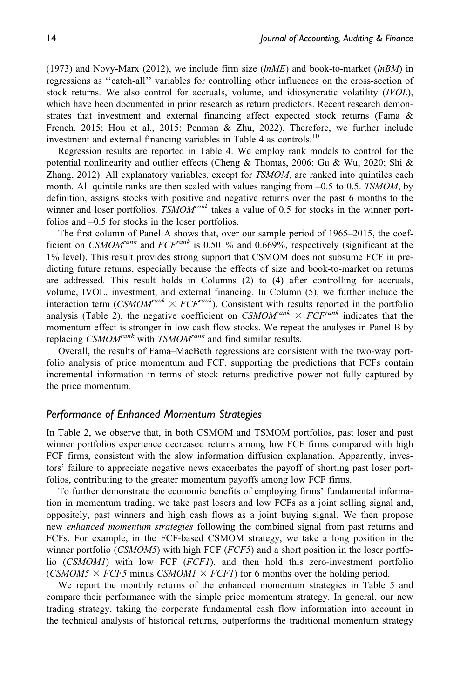(1973) and Novy-Marx (2012), we include firm size  $(lnME)$  and book-to-market  $(lnBM)$  in regressions as ''catch-all'' variables for controlling other influences on the cross-section of stock returns. We also control for accruals, volume, and idiosyncratic volatility (IVOL), which have been documented in prior research as return predictors. Recent research demonstrates that investment and external financing affect expected stock returns (Fama & French, 2015; Hou et al., 2015; Penman & Zhu, 2022). Therefore, we further include investment and external financing variables in Table 4 as controls.<sup>10</sup>

Regression results are reported in Table 4. We employ rank models to control for the potential nonlinearity and outlier effects (Cheng & Thomas, 2006; Gu & Wu, 2020; Shi & Zhang, 2012). All explanatory variables, except for TSMOM, are ranked into quintiles each month. All quintile ranks are then scaled with values ranging from  $-0.5$  to 0.5. TSMOM, by definition, assigns stocks with positive and negative returns over the past 6 months to the winner and loser portfolios.  $TSMOM^{rank}$  takes a value of 0.5 for stocks in the winner portfolios and –0.5 for stocks in the loser portfolios.

The first column of Panel A shows that, over our sample period of 1965–2015, the coefficient on CSMOM<sup>rank</sup> and  $FCF<sup>rank</sup>$  is 0.501% and 0.669%, respectively (significant at the 1% level). This result provides strong support that CSMOM does not subsume FCF in predicting future returns, especially because the effects of size and book-to-market on returns are addressed. This result holds in Columns (2) to (4) after controlling for accruals, volume, IVOL, investment, and external financing. In Column (5), we further include the interaction term (CSMOM<sup>rank</sup>  $\times$  FCF<sup>rank</sup>). Consistent with results reported in the portfolio analysis (Table 2), the negative coefficient on  $CSMOM^{rank} \times FCF^{rank}$  indicates that the momentum effect is stronger in low cash flow stocks. We repeat the analyses in Panel B by replacing  $CSMOM^{rank}$  with  $TSMOM^{rank}$  and find similar results.

Overall, the results of Fama–MacBeth regressions are consistent with the two-way portfolio analysis of price momentum and FCF, supporting the predictions that FCFs contain incremental information in terms of stock returns predictive power not fully captured by the price momentum.

#### Performance of Enhanced Momentum Strategies

In Table 2, we observe that, in both CSMOM and TSMOM portfolios, past loser and past winner portfolios experience decreased returns among low FCF firms compared with high FCF firms, consistent with the slow information diffusion explanation. Apparently, investors' failure to appreciate negative news exacerbates the payoff of shorting past loser portfolios, contributing to the greater momentum payoffs among low FCF firms.

To further demonstrate the economic benefits of employing firms' fundamental information in momentum trading, we take past losers and low FCFs as a joint selling signal and, oppositely, past winners and high cash flows as a joint buying signal. We then propose new enhanced momentum strategies following the combined signal from past returns and FCFs. For example, in the FCF-based CSMOM strategy, we take a long position in the winner portfolio (CSMOM5) with high FCF ( $FCF5$ ) and a short position in the loser portfolio (CSMOM1) with low FCF (FCF1), and then hold this zero-investment portfolio (CSMOM5  $\times$  FCF5 minus CSMOM1  $\times$  FCF1) for 6 months over the holding period.

We report the monthly returns of the enhanced momentum strategies in Table 5 and compare their performance with the simple price momentum strategy. In general, our new trading strategy, taking the corporate fundamental cash flow information into account in the technical analysis of historical returns, outperforms the traditional momentum strategy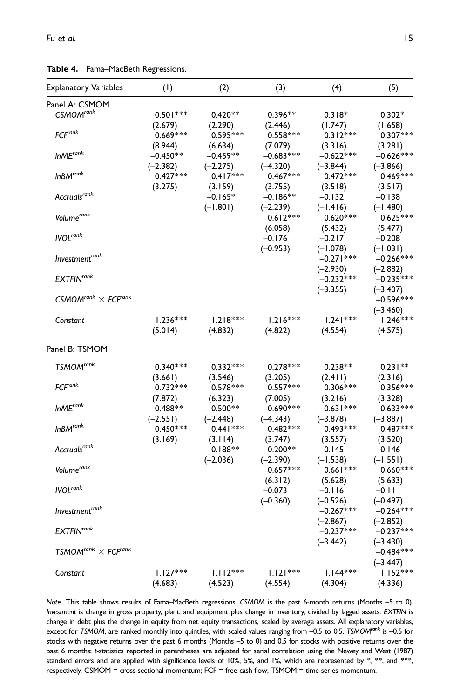L,

| <b>Table 4.</b> Fama–MacBeth Regressions.                            |            |            |             |             |             |  |  |  |  |  |
|----------------------------------------------------------------------|------------|------------|-------------|-------------|-------------|--|--|--|--|--|
| Explanatory Variables                                                | (1)        | (2)        | (3)         | (4)         | (5)         |  |  |  |  |  |
| Panel A: CSMOM                                                       |            |            |             |             |             |  |  |  |  |  |
| CSMOM <sup>rank</sup>                                                | $0.501***$ | $0.420**$  | $0.396**$   | $0.318*$    | $0.302*$    |  |  |  |  |  |
|                                                                      | (2.679)    | (2.290)    | (2.446)     | (1.747)     | (1.658)     |  |  |  |  |  |
| FCF <sup>rank</sup>                                                  | $0.669***$ | $0.595***$ | $0.558***$  | $0.312***$  | $0.307***$  |  |  |  |  |  |
|                                                                      | (8.944)    | (6.634)    | (7.079)     | (3.316)     | (3.281)     |  |  |  |  |  |
| InME <sup>rank</sup>                                                 | $-0.450**$ | $-0.459**$ | $-0.683***$ | $-0.622***$ | $-0.626***$ |  |  |  |  |  |
|                                                                      | $(-2.382)$ | $(-2.275)$ | $(-4.320)$  | $(-3.844)$  | $(-3.866)$  |  |  |  |  |  |
| InBM <sup>rank</sup>                                                 | $0.427***$ | $0.417***$ | $0.467***$  | $0.472***$  | $0.469***$  |  |  |  |  |  |
|                                                                      | (3.275)    | (3.159)    | (3.755)     | (3.518)     | (3.517)     |  |  |  |  |  |
| Accruals <sup>rank</sup>                                             |            | $-0.165*$  | $-0.186**$  | $-0.132$    | $-0.138$    |  |  |  |  |  |
|                                                                      |            | $(-1.801)$ | $(-2.239)$  | $(-1.416)$  | $(-1.480)$  |  |  |  |  |  |
| Volume <sup>rank</sup>                                               |            |            | $0.612***$  | $0.620***$  | $0.625***$  |  |  |  |  |  |
|                                                                      |            |            | (6.058)     | (5.432)     | (5.477)     |  |  |  |  |  |
| <b>IVOL</b> <sup>rank</sup>                                          |            |            | $-0.176$    | $-0.217$    | $-0.208$    |  |  |  |  |  |
|                                                                      |            |            | $(-0.953)$  | $(-1.078)$  | $(-1.031)$  |  |  |  |  |  |
| Investment <sup>rank</sup>                                           |            |            |             | $-0.271***$ | $-0.266***$ |  |  |  |  |  |
|                                                                      |            |            |             | $(-2.930)$  | $(-2.882)$  |  |  |  |  |  |
| <b>EXTFIN<sup>rank</sup></b>                                         |            |            |             | $-0.232***$ | $-0.235***$ |  |  |  |  |  |
|                                                                      |            |            |             | $(-3.355)$  | $(-3.407)$  |  |  |  |  |  |
| $\mathsf{CSMOM}^{\mathsf{rank}} \times \mathsf{FCF}^{\mathsf{rank}}$ |            |            |             |             | $-0.596***$ |  |  |  |  |  |
|                                                                      |            |            |             |             | $(-3.460)$  |  |  |  |  |  |

1.218\*\*\* (4.832)

1.216\*\*\* (4.822)

1.241\*\*\* (4.554)

1.246\*\*\* (4.575)

Panel B: TSMOM

Constant 1.236\*\*\*

(5.014)

| TSMOM <sup>rank</sup>       | $0.340***$ | $0.332***$ | $0.278***$            | $0.238**$                          | $0.231**$   |
|-----------------------------|------------|------------|-----------------------|------------------------------------|-------------|
|                             | (3.661)    | (3.546)    | (3.205)               | (2.411)                            | (2.316)     |
| FCF <sup>rank</sup>         | $0.732***$ | $0.578***$ | $0.557***$            | $0.306***$                         | $0.356***$  |
|                             | (7.872)    | (6.323)    | $(7.005)$ $(3.216)$   |                                    | (3.328)     |
| InME <sup>rank</sup>        | $-0.488**$ |            |                       | $-0.500**$ $-0.690***$ $-0.631***$ | $-0.633***$ |
|                             | $(-2.551)$ |            | $(-2.448)$ $(-4.343)$ | $(-3.878)$                         | $(-3.887)$  |
| InBM <sup>rank</sup>        | $0.450***$ | $0.441***$ | $0.482***$            | $0.493***$                         | $0.487***$  |
|                             | (3.169)    | (3.114)    | $(3.747)$ $(3.557)$   |                                    | (3.520)     |
| Accruals <sup>rank</sup>    |            | $-0.188**$ | $-0.200**$            | $-0.145$                           | $-0.146$    |
|                             |            | $(-2.036)$ | $(-2.390)$            | $(-1.538)$                         | $(-1.551)$  |
| Volume <sup>rank</sup>      |            |            | $0.657***$            | $0.661***$                         | $0.660***$  |
|                             |            |            | $(6.312)$ $(5.628)$   |                                    | (5.633)     |
| <b>IVOL</b> <sup>rank</sup> |            |            | $-0.073$              | $-0.116$                           | $-0.11$     |
|                             |            |            | $(-0.360)$            | $(-0.526)$                         | $(-0.497)$  |
| Investment <sup>rank</sup>  |            |            |                       | $-0.267***$                        | $-0.264***$ |
|                             |            |            |                       | $(-2.867)$                         | $(-2.852)$  |
| <b>EXTFINrank</b>           |            |            |                       | $-0.237***$                        | $-0.237***$ |
|                             |            |            |                       | $(-3.442)$                         | $(-3.430)$  |
| $TSMOMrank \times FCFrank$  |            |            |                       |                                    | $-0.484***$ |
|                             |            |            |                       |                                    | $(-3.447)$  |
| Constant                    | $1.127***$ | $1.112***$ | $1.121***$            | $1.144***$                         | $1.152***$  |
|                             | (4.683)    | (4.523)    | (4.554)               | (4.304)                            | (4.336)     |
|                             |            |            |                       |                                    |             |

Note. This table shows results of Fama–MacBeth regressions. CSMOM is the past 6-month returns (Months –5 to 0). Investment is change in gross property, plant, and equipment plus change in inventory, divided by lagged assets. EXTFIN is change in debt plus the change in equity from net equity transactions, scaled by average assets. All explanatory variables, except for TSMOM, are ranked monthly into quintiles, with scaled values ranging from -0.5 to 0.5. TSMOM<sup>rank</sup> is -0.5 for stocks with negative returns over the past 6 months (Months –5 to 0) and 0.5 for stocks with positive returns over the past 6 months; t-statistics reported in parentheses are adjusted for serial correlation using the Newey and West (1987) standard errors and are applied with significance levels of 10%, 5%, and 1%, which are represented by \*, \*\*, and \*\*\*, respectively. CSMOM = cross-sectional momentum; FCF = free cash flow; TSMOM = time-series momentum.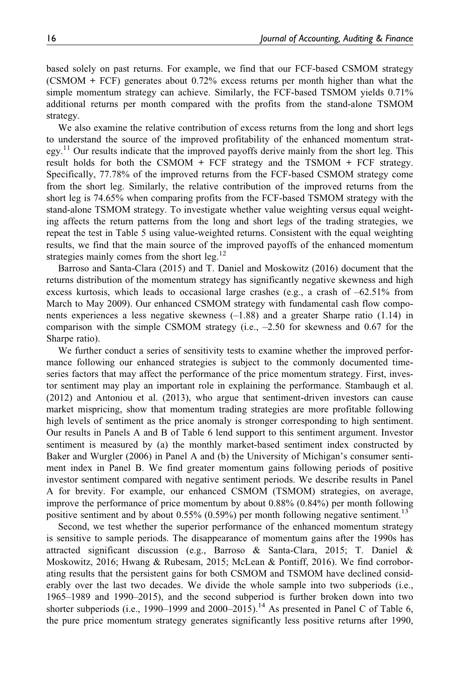based solely on past returns. For example, we find that our FCF-based CSMOM strategy (CSMOM + FCF) generates about 0.72% excess returns per month higher than what the simple momentum strategy can achieve. Similarly, the FCF-based TSMOM yields 0.71% additional returns per month compared with the profits from the stand-alone TSMOM strategy.

We also examine the relative contribution of excess returns from the long and short legs to understand the source of the improved profitability of the enhanced momentum strategy.<sup>11</sup> Our results indicate that the improved payoffs derive mainly from the short leg. This result holds for both the CSMOM + FCF strategy and the TSMOM + FCF strategy. Specifically, 77.78% of the improved returns from the FCF-based CSMOM strategy come from the short leg. Similarly, the relative contribution of the improved returns from the short leg is 74.65% when comparing profits from the FCF-based TSMOM strategy with the stand-alone TSMOM strategy. To investigate whether value weighting versus equal weighting affects the return patterns from the long and short legs of the trading strategies, we repeat the test in Table 5 using value-weighted returns. Consistent with the equal weighting results, we find that the main source of the improved payoffs of the enhanced momentum strategies mainly comes from the short leg.<sup>12</sup>

Barroso and Santa-Clara (2015) and T. Daniel and Moskowitz (2016) document that the returns distribution of the momentum strategy has significantly negative skewness and high excess kurtosis, which leads to occasional large crashes (e.g., a crash of  $-62.51\%$  from March to May 2009). Our enhanced CSMOM strategy with fundamental cash flow components experiences a less negative skewness (–1.88) and a greater Sharpe ratio (1.14) in comparison with the simple CSMOM strategy (i.e., –2.50 for skewness and 0.67 for the Sharpe ratio).

We further conduct a series of sensitivity tests to examine whether the improved performance following our enhanced strategies is subject to the commonly documented timeseries factors that may affect the performance of the price momentum strategy. First, investor sentiment may play an important role in explaining the performance. Stambaugh et al. (2012) and Antoniou et al. (2013), who argue that sentiment-driven investors can cause market mispricing, show that momentum trading strategies are more profitable following high levels of sentiment as the price anomaly is stronger corresponding to high sentiment. Our results in Panels A and B of Table 6 lend support to this sentiment argument. Investor sentiment is measured by (a) the monthly market-based sentiment index constructed by Baker and Wurgler (2006) in Panel A and (b) the University of Michigan's consumer sentiment index in Panel B. We find greater momentum gains following periods of positive investor sentiment compared with negative sentiment periods. We describe results in Panel A for brevity. For example, our enhanced CSMOM (TSMOM) strategies, on average, improve the performance of price momentum by about 0.88% (0.84%) per month following positive sentiment and by about  $0.55\%$   $(0.59\%)$  per month following negative sentiment.<sup>13</sup>

Second, we test whether the superior performance of the enhanced momentum strategy is sensitive to sample periods. The disappearance of momentum gains after the 1990s has attracted significant discussion (e.g., Barroso & Santa-Clara, 2015; T. Daniel & Moskowitz, 2016; Hwang & Rubesam, 2015; McLean & Pontiff, 2016). We find corroborating results that the persistent gains for both CSMOM and TSMOM have declined considerably over the last two decades. We divide the whole sample into two subperiods (i.e., 1965–1989 and 1990–2015), and the second subperiod is further broken down into two shorter subperiods (i.e., 1990–1999 and 2000–2015).<sup>14</sup> As presented in Panel C of Table 6, the pure price momentum strategy generates significantly less positive returns after 1990,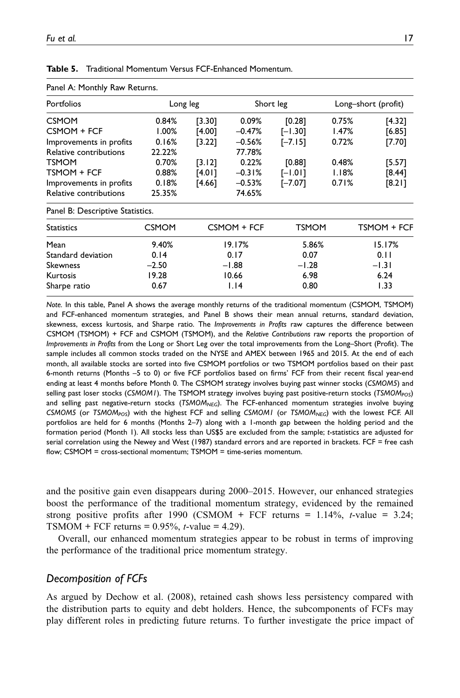| Panel A: Monthly Raw Returns.    |              |          |             |              |       |                     |
|----------------------------------|--------------|----------|-------------|--------------|-------|---------------------|
| Portfolios                       | Long leg     |          |             | Short leg    |       | Long-short (profit) |
| CSMOM                            | 0.84%        | $[3.30]$ | 0.09%       | [0.28]       | 0.75% | [4.32]              |
| CSMOM + FCF                      | 1.00%        | [4.00]   | $-0.47%$    | $[-1.30]$    | 1.47% | [6.85]              |
| Improvements in profits          | 0.16%        | [3.22]   | $-0.56%$    | $[-7.15]$    | 0.72% | [7.70]              |
| Relative contributions           | 22.22%       |          | 77.78%      |              |       |                     |
| TSMOM                            | 0.70%        | [3.12]   | 0.22%       | [0.88]       | 0.48% | [5.57]              |
| TSMOM + FCF                      | 0.88%        | [4.01]   | $-0.31%$    | $[-1.01]$    | 1.18% | [8.44]              |
| Improvements in profits          | 0.18%        | [4.66]   | $-0.53%$    | $[-7.07]$    | 0.71% | [8.2]               |
| Relative contributions           | 25.35%       |          | 74.65%      |              |       |                     |
| Panel B: Descriptive Statistics. |              |          |             |              |       |                     |
| Statistics                       | <b>CSMOM</b> |          | CSMOM + FCF | <b>TSMOM</b> |       | TSMOM + FCF         |
|                                  |              |          |             |              |       |                     |

Mean 9.40% 19.17% 5.86% 15.17% Standard deviation  $0.14$  0.17 0.07 0.11 Skewness –2.50 –1.88 –1.28 –1.31 Kurtosis 19.28 10.66 6.98 6.24 Sharpe ratio **0.67** 1.14 0.80 1.33

Table 5. Traditional Momentum Versus FCF-Enhanced Momentum.

and the positive gain even disappears during 2000–2015. However, our enhanced strategies boost the performance of the traditional momentum strategy, evidenced by the remained strong positive profits after 1990 (CSMOM + FCF returns = 1.14%, t-value = 3.24; TSMOM + FCF returns =  $0.95\%$ , *t*-value = 4.29).

Overall, our enhanced momentum strategies appear to be robust in terms of improving the performance of the traditional price momentum strategy.

#### Decomposition of FCFs

As argued by Dechow et al. (2008), retained cash shows less persistency compared with the distribution parts to equity and debt holders. Hence, the subcomponents of FCFs may play different roles in predicting future returns. To further investigate the price impact of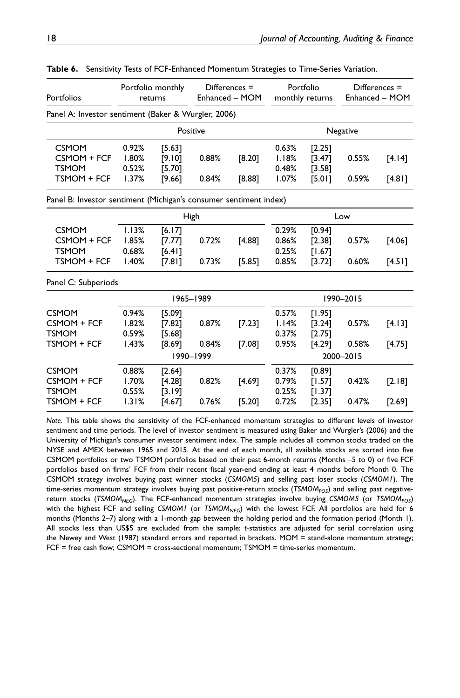|                                  |                                        | Differences =<br>Enhanced - MOM                  |                                             | Portfolio<br>monthly returns                                            |                                                                                     | Differences =<br>Enhanced - MOM |                                             |
|----------------------------------|----------------------------------------|--------------------------------------------------|---------------------------------------------|-------------------------------------------------------------------------|-------------------------------------------------------------------------------------|---------------------------------|---------------------------------------------|
|                                  |                                        |                                                  |                                             |                                                                         |                                                                                     |                                 |                                             |
|                                  |                                        |                                                  |                                             |                                                                         |                                                                                     |                                 |                                             |
| 0.92%<br>1.80%<br>0.52%<br>1.37% | $[5.63]$<br>[9.10]<br>[5.70]<br>[9.66] | 0.88%<br>0.84%                                   | [8.20]<br>[8.88]                            | 0.63%<br>1.18%<br>0.48%<br>1.07%                                        | [2.25]<br>[3.47]<br>[3.58]<br>$[5.01]$                                              | 0.55%<br>0.59%                  | [4.14]<br>[4.8]                             |
|                                  |                                        |                                                  |                                             |                                                                         |                                                                                     |                                 |                                             |
| High                             |                                        |                                                  | Low                                         |                                                                         |                                                                                     |                                 |                                             |
| 1.13%<br>1.85%<br>0.68%<br>1.40% | [6.17]<br>[7.77]<br>[6.4]<br>[7.8]     | 0.72%<br>0.73%                                   | [4.88]<br>[5.85]                            | 0.29%<br>0.86%<br>0.25%<br>0.85%                                        | [0.94]<br>[2.38]<br>[1.67]<br>[3.72]                                                | 0.57%<br>0.60%                  | [4.06]<br>$[4.51]$                          |
| Panel C: Subperiods              |                                        |                                                  |                                             |                                                                         |                                                                                     |                                 |                                             |
|                                  |                                        |                                                  |                                             |                                                                         |                                                                                     |                                 |                                             |
| 0.94%<br>1.82%<br>0.59%          | [5.09]<br>[7.82]<br>[5.68]             | 0.87%                                            | [7.23]                                      | 0.57%<br>1.14%<br>0.37%                                                 | [1.95]<br>[3.24]<br>[2.75]                                                          | 0.57%                           | [4.13]<br>[4.75]                            |
|                                  |                                        |                                                  |                                             |                                                                         |                                                                                     |                                 |                                             |
| 0.88%<br>1.70%<br>0.55%          | [2.64]<br>[4.28]<br>[3.19]             | 0.82%<br>0.76%                                   | [4.69]                                      | 0.37%<br>0.79%<br>0.25%                                                 | [0.89]<br>[1.57]<br>[1.37]                                                          | 0.42%<br>0.47%                  | [2.18]<br>[2.69]                            |
|                                  | 1.43%<br>1.31%                         | Portfolio monthly<br>returns<br>[8.69]<br>[4.67] | Positive<br>1965-1989<br>0.84%<br>1990-1999 | Panel A: Investor sentiment (Baker & Wurgler, 2006)<br>[7.08]<br>[5.20] | Panel B: Investor sentiment (Michigan's consumer sentiment index)<br>0.95%<br>0.72% | [4.29]<br>[2.35]                | Negative<br>1990-2015<br>0.58%<br>2000-2015 |

Table 6. Sensitivity Tests of FCF-Enhanced Momentum Strategies to Time-Series Variation.

Note. This table shows the sensitivity of the FCF-enhanced momentum strategies to different levels of investor sentiment and time periods. The level of investor sentiment is measured using Baker and Wurgler's (2006) and the University of Michigan's consumer investor sentiment index. The sample includes all common stocks traded on the NYSE and AMEX between 1965 and 2015. At the end of each month, all available stocks are sorted into five CSMOM portfolios or two TSMOM portfolios based on their past 6-month returns (Months –5 to 0) or five FCF portfolios based on firms' FCF from their recent fiscal year-end ending at least 4 months before Month 0. The CSMOM strategy involves buying past winner stocks (CSMOM5) and selling past loser stocks (CSMOM1). The time-series momentum strategy involves buying past positive-return stocks (TSMOM $_{POS}$ ) and selling past negativereturn stocks (TSMOM<sub>NEG</sub>). The FCF-enhanced momentum strategies involve buying CSMOM5 (or TSMOM<sub>POS</sub>) with the highest FCF and selling CSMOM1 (or TSMOM<sub>NEG</sub>) with the lowest FCF. All portfolios are held for 6 months (Months 2–7) along with a 1-month gap between the holding period and the formation period (Month 1). All stocks less than US\$5 are excluded from the sample; t-statistics are adjusted for serial correlation using the Newey and West (1987) standard errors and reported in brackets. MOM = stand-alone momentum strategy; FCF = free cash flow; CSMOM = cross-sectional momentum; TSMOM = time-series momentum.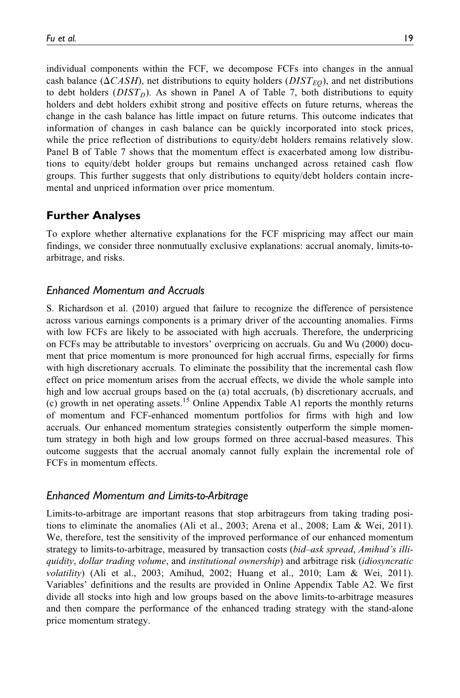individual components within the FCF, we decompose FCFs into changes in the annual cash balance ( $\Delta CASH$ ), net distributions to equity holders ( $DIST_{EO}$ ), and net distributions to debt holders ( $DIST<sub>D</sub>$ ). As shown in Panel A of Table 7, both distributions to equity holders and debt holders exhibit strong and positive effects on future returns, whereas the change in the cash balance has little impact on future returns. This outcome indicates that information of changes in cash balance can be quickly incorporated into stock prices, while the price reflection of distributions to equity/debt holders remains relatively slow. Panel B of Table 7 shows that the momentum effect is exacerbated among low distributions to equity/debt holder groups but remains unchanged across retained cash flow groups. This further suggests that only distributions to equity/debt holders contain incremental and unpriced information over price momentum.

## Further Analyses

To explore whether alternative explanations for the FCF mispricing may affect our main findings, we consider three nonmutually exclusive explanations: accrual anomaly, limits-toarbitrage, and risks.

#### Enhanced Momentum and Accruals

S. Richardson et al. (2010) argued that failure to recognize the difference of persistence across various earnings components is a primary driver of the accounting anomalies. Firms with low FCFs are likely to be associated with high accruals. Therefore, the underpricing on FCFs may be attributable to investors' overpricing on accruals. Gu and Wu (2000) document that price momentum is more pronounced for high accrual firms, especially for firms with high discretionary accruals. To eliminate the possibility that the incremental cash flow effect on price momentum arises from the accrual effects, we divide the whole sample into high and low accrual groups based on the (a) total accruals, (b) discretionary accruals, and (c) growth in net operating assets.<sup>15</sup> Online Appendix Table A1 reports the monthly returns of momentum and FCF-enhanced momentum portfolios for firms with high and low accruals. Our enhanced momentum strategies consistently outperform the simple momentum strategy in both high and low groups formed on three accrual-based measures. This outcome suggests that the accrual anomaly cannot fully explain the incremental role of FCFs in momentum effects.

#### Enhanced Momentum and Limits-to-Arbitrage

Limits-to-arbitrage are important reasons that stop arbitrageurs from taking trading positions to eliminate the anomalies (Ali et al., 2003; Arena et al., 2008; Lam & Wei, 2011). We, therefore, test the sensitivity of the improved performance of our enhanced momentum strategy to limits-to-arbitrage, measured by transaction costs (bid–ask spread, Amihud's illiquidity, dollar trading volume, and institutional ownership) and arbitrage risk (idiosyncratic volatility) (Ali et al., 2003; Amihud, 2002; Huang et al., 2010; Lam & Wei, 2011). Variables' definitions and the results are provided in Online Appendix Table A2. We first divide all stocks into high and low groups based on the above limits-to-arbitrage measures and then compare the performance of the enhanced trading strategy with the stand-alone price momentum strategy.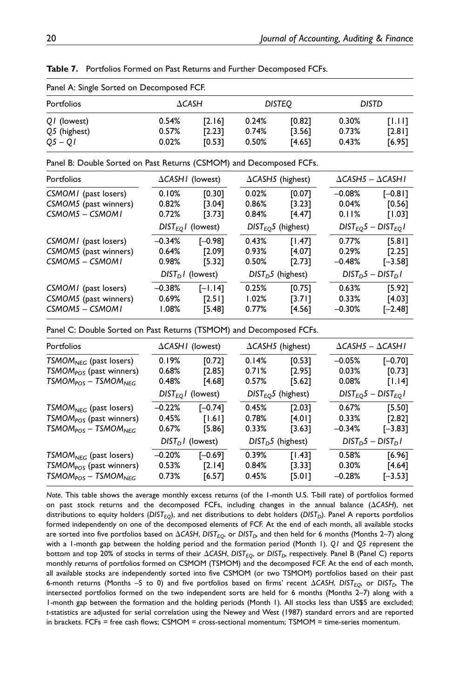| Panel A: Single Sorted on Decomposed FCF. |       |               |       |               |       |              |  |
|-------------------------------------------|-------|---------------|-------|---------------|-------|--------------|--|
| Portfolios                                |       | $\Delta$ CASH |       | <b>DISTEQ</b> |       | <b>DISTD</b> |  |
| QI (lowest)                               | 0.54% | [2.16]        | 0.24% | [0.82]        | 0.30% | [1.11]       |  |
| Q5 (highest)                              | 0.57% | [2.23]        | 0.74% | [3.56]        | 0.73% | [2.8]        |  |
| $Q5 - QI$                                 | 0.02% | [0.53]        | 0.50% | [4.65]        | 0.43% | [6.95]       |  |

Table 7. Portfolios Formed on Past Returns and Further Decomposed FCFs.

Panel B: Double Sorted on Past Returns (CSMOM) and Decomposed FCFs.

| Portfolios            | $\Delta$ CASHI (lowest) |                     |       | $\Delta$ CASH5 (highest) |          | $\Delta$ CASH5 – $\Delta$ CASHI |  |
|-----------------------|-------------------------|---------------------|-------|--------------------------|----------|---------------------------------|--|
| CSMOMI (past losers)  | 0.10%                   | [0.30]              | 0.02% | <b>[0.07]</b>            | $-0.08%$ | $[-0.8]$                        |  |
| CSMOM5 (past winners) | 0.82%                   | [3.04]              | 0.86% | [3.23]                   | 0.04%    | [0.56]                          |  |
| CSMOM5 - CSMOM1       | 0.72%                   | [3.73]              | 0.84% | [4.47]                   | 0.11%    | [1.03]                          |  |
|                       | $DIST_{EQ}$ (lowest)    |                     |       | $DIST_{EO}5$ (highest)   |          | $DIST_{EO}5 - DIST_{EO}1$       |  |
| CSMOMI (past losers)  | $-0.34%$                | F-0.981             | 0.43% | [1.47]                   | 0.77%    | [5.8]                           |  |
| CSMOM5 (past winners) | 0.64%                   | [2.09]              | 0.93% | [4.07]                   | 0.29%    | [2.25]                          |  |
| CSMOM5 - CSMOM1       | 0.98%                   | [5.32]              | 0.50% | [2.73]                   | $-0.48%$ | $[-3.58]$                       |  |
|                       |                         | $DIST_D I$ (lowest) |       | $DIST_D5$ (highest)      |          | $DISTn5 - DISTnI$               |  |
| CSMOMI (past losers)  | $-0.38%$                | r–1.141             | 0.25% | [0.75]                   | 0.63%    | [5.92]                          |  |
| CSMOM5 (past winners) | 0.69%                   | [2.5]               | 1.02% | [3.7]                    | 0.33%    | [4.03]                          |  |
| CSMOM5 - CSMOM1       | 1.08%                   | [5.48]              | 0.77% | [4.56]                   | $-0.30%$ | $[-2.48]$                       |  |

Panel C: Double Sorted on Past Returns (TSMOM) and Decomposed FCFs.

| Portfolios                  | $\Delta$ CASHI (lowest) |                     |       | $\Delta$ CASH5 (highest) |          | $\Delta$ CASH5 – $\Delta$ CASHI             |
|-----------------------------|-------------------------|---------------------|-------|--------------------------|----------|---------------------------------------------|
| $TSMOM_{NEG}$ (past losers) | 0.19%                   | [0.72]              | 0.14% | [0.53]                   | $-0.05%$ | $[-0.70]$                                   |
| $TSMOMPOS$ (past winners)   | 0.68%                   | [2.85]              | 0.71% | [2.95]                   | 0.03%    | [0.73]                                      |
| $TSMOMPOS - TSMOMNFG$       | 0.48%                   | [4.68]              | 0.57% | [5.62]                   | 0.08%    | [1.14]                                      |
|                             | $DIST_{EQ}$ (lowest)    |                     |       | $DIST_{EO}$ 5 (highest)  |          | DIST <sub>EQ</sub> 5 – DIST <sub>EQ</sub> 1 |
| $TSMOMNFG$ (past losers)    | $-0.22%$                | $[-0.74]$           | 0.45% | [2.03]                   | 0.67%    | [5.50]                                      |
| $TSMOMPOS$ (past winners)   | 0.45%                   | [1.61]              | 0.78% | [4.01]                   | 0.33%    | [2.82]                                      |
| $TSMOMPOS - TSMOMNFG$       | 0.67%                   | [5.86]              | 0.33% | [3.63]                   | $-0.34%$ | $[-3.83]$                                   |
|                             |                         | $DIST_D I$ (lowest) |       | $DIST_D5$ (highest)      |          | $DISTD5 - DISTDI$                           |
| $TSMOMNEG$ (past losers)    | $-0.20%$                | $[-0.69]$           | 0.39% | [1.43]                   | 0.58%    | [6.96]                                      |
| $TSMOMPOS$ (past winners)   | 0.53%                   | [2.14]              | 0.84% | [3.33]                   | 0.30%    | [4.64]                                      |
| $TSMOMPOS - TSMOMNFG$       | 0.73%                   | [6.57]              | 0.45% | [5.01]                   | $-0.28%$ | $[-3.53]$                                   |

Note. This table shows the average monthly excess returns (of the 1-month U.S. T-bill rate) of portfolios formed on past stock returns and the decomposed FCFs, including changes in the annual balance  $(\Delta CASH)$ , net distributions to equity holders ( $DIST_{EQ}$ ), and net distributions to debt holders ( $DIST_D$ ). Panel A reports portfolios formed independently on one of the decomposed elements of FCF. At the end of each month, all available stocks are sorted into five portfolios based on  $\Delta$ CASH, DIST<sub>EQ</sub>, or DIST<sub>D</sub>, and then held for 6 months (Months 2–7) along with a 1-month gap between the holding period and the formation period (Month 1). Q1 and Q5 represent the bottom and top 20% of stocks in terms of their  $\Delta$ CASH, DIST<sub>EQ</sub>, or DIST<sub>D</sub>, respectively. Panel B (Panel C) reports monthly returns of portfolios formed on CSMOM (TSMOM) and the decomposed FCF. At the end of each month, all available stocks are independently sorted into five CSMOM (or two TSMOM) portfolios based on their past 6-month returns (Months -5 to 0) and five portfolios based on firms' recent  $\Delta$ CASH, DIST<sub>EO</sub>, or DIST<sub>D</sub>. The intersected portfolios formed on the two independent sorts are held for 6 months (Months 2–7) along with a 1-month gap between the formation and the holding periods (Month 1). All stocks less than US\$5 are excluded; t-statistics are adjusted for serial correlation using the Newey and West (1987) standard errors and are reported in brackets. FCFs = free cash flows; CSMOM = cross-sectional momentum; TSMOM = time-series momentum.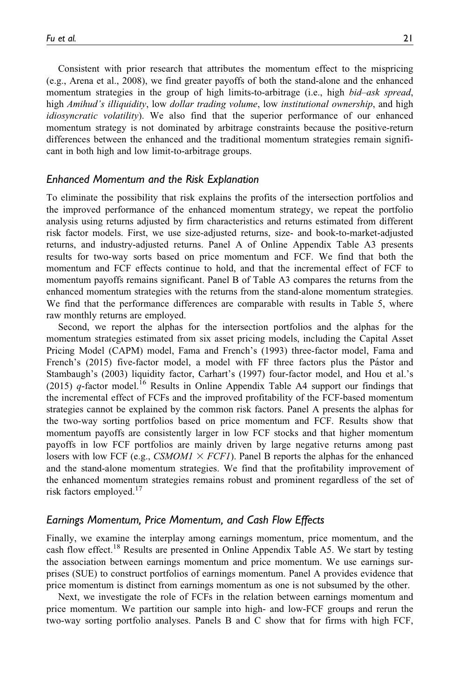Consistent with prior research that attributes the momentum effect to the mispricing (e.g., Arena et al., 2008), we find greater payoffs of both the stand-alone and the enhanced momentum strategies in the group of high limits-to-arbitrage (i.e., high bid–ask spread, high Amihud's illiquidity, low dollar trading volume, low institutional ownership, and high idiosyncratic volatility). We also find that the superior performance of our enhanced momentum strategy is not dominated by arbitrage constraints because the positive-return differences between the enhanced and the traditional momentum strategies remain significant in both high and low limit-to-arbitrage groups.

#### Enhanced Momentum and the Risk Explanation

To eliminate the possibility that risk explains the profits of the intersection portfolios and the improved performance of the enhanced momentum strategy, we repeat the portfolio analysis using returns adjusted by firm characteristics and returns estimated from different risk factor models. First, we use size-adjusted returns, size- and book-to-market-adjusted returns, and industry-adjusted returns. Panel A of Online Appendix Table A3 presents results for two-way sorts based on price momentum and FCF. We find that both the momentum and FCF effects continue to hold, and that the incremental effect of FCF to momentum payoffs remains significant. Panel B of Table A3 compares the returns from the enhanced momentum strategies with the returns from the stand-alone momentum strategies. We find that the performance differences are comparable with results in Table 5, where raw monthly returns are employed.

Second, we report the alphas for the intersection portfolios and the alphas for the momentum strategies estimated from six asset pricing models, including the Capital Asset Pricing Model (CAPM) model, Fama and French's (1993) three-factor model, Fama and French's (2015) five-factor model, a model with FF three factors plus the Pástor and Stambaugh's (2003) liquidity factor, Carhart's (1997) four-factor model, and Hou et al.'s (2015)  $q$ -factor model.<sup>16</sup> Results in Online Appendix Table A4 support our findings that the incremental effect of FCFs and the improved profitability of the FCF-based momentum strategies cannot be explained by the common risk factors. Panel A presents the alphas for the two-way sorting portfolios based on price momentum and FCF. Results show that momentum payoffs are consistently larger in low FCF stocks and that higher momentum payoffs in low FCF portfolios are mainly driven by large negative returns among past losers with low FCF (e.g., *CSMOM1*  $\times$  *FCF1*). Panel B reports the alphas for the enhanced and the stand-alone momentum strategies. We find that the profitability improvement of the enhanced momentum strategies remains robust and prominent regardless of the set of risk factors employed.<sup>17</sup>

#### Earnings Momentum, Price Momentum, and Cash Flow Effects

Finally, we examine the interplay among earnings momentum, price momentum, and the cash flow effect.<sup>18</sup> Results are presented in Online Appendix Table A5. We start by testing the association between earnings momentum and price momentum. We use earnings surprises (SUE) to construct portfolios of earnings momentum. Panel A provides evidence that price momentum is distinct from earnings momentum as one is not subsumed by the other.

Next, we investigate the role of FCFs in the relation between earnings momentum and price momentum. We partition our sample into high- and low-FCF groups and rerun the two-way sorting portfolio analyses. Panels B and C show that for firms with high FCF,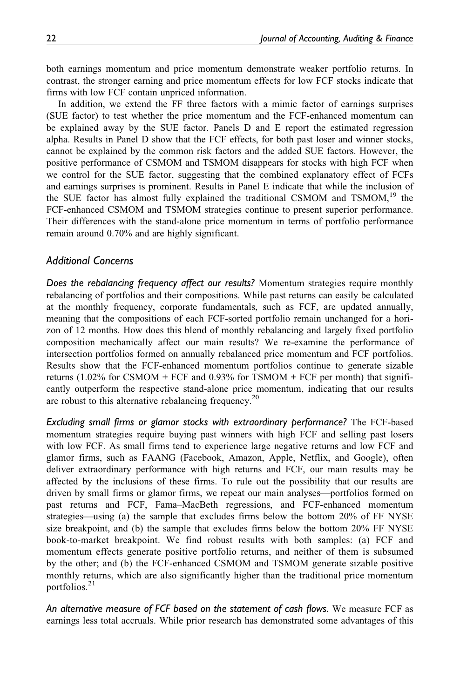both earnings momentum and price momentum demonstrate weaker portfolio returns. In contrast, the stronger earning and price momentum effects for low FCF stocks indicate that firms with low FCF contain unpriced information.

In addition, we extend the FF three factors with a mimic factor of earnings surprises (SUE factor) to test whether the price momentum and the FCF-enhanced momentum can be explained away by the SUE factor. Panels D and E report the estimated regression alpha. Results in Panel D show that the FCF effects, for both past loser and winner stocks, cannot be explained by the common risk factors and the added SUE factors. However, the positive performance of CSMOM and TSMOM disappears for stocks with high FCF when we control for the SUE factor, suggesting that the combined explanatory effect of FCFs and earnings surprises is prominent. Results in Panel E indicate that while the inclusion of the SUE factor has almost fully explained the traditional CSMOM and TSMOM,<sup>19</sup> the FCF-enhanced CSMOM and TSMOM strategies continue to present superior performance. Their differences with the stand-alone price momentum in terms of portfolio performance remain around 0.70% and are highly significant.

#### Additional Concerns

Does the rebalancing frequency affect our results? Momentum strategies require monthly rebalancing of portfolios and their compositions. While past returns can easily be calculated at the monthly frequency, corporate fundamentals, such as FCF, are updated annually, meaning that the compositions of each FCF-sorted portfolio remain unchanged for a horizon of 12 months. How does this blend of monthly rebalancing and largely fixed portfolio composition mechanically affect our main results? We re-examine the performance of intersection portfolios formed on annually rebalanced price momentum and FCF portfolios. Results show that the FCF-enhanced momentum portfolios continue to generate sizable returns (1.02% for CSMOM + FCF and 0.93% for TSMOM + FCF per month) that significantly outperform the respective stand-alone price momentum, indicating that our results are robust to this alternative rebalancing frequency.<sup>20</sup>

Excluding small firms or glamor stocks with extraordinary performance? The FCF-based momentum strategies require buying past winners with high FCF and selling past losers with low FCF. As small firms tend to experience large negative returns and low FCF and glamor firms, such as FAANG (Facebook, Amazon, Apple, Netflix, and Google), often deliver extraordinary performance with high returns and FCF, our main results may be affected by the inclusions of these firms. To rule out the possibility that our results are driven by small firms or glamor firms, we repeat our main analyses—portfolios formed on past returns and FCF, Fama–MacBeth regressions, and FCF-enhanced momentum strategies—using (a) the sample that excludes firms below the bottom 20% of FF NYSE size breakpoint, and (b) the sample that excludes firms below the bottom 20% FF NYSE book-to-market breakpoint. We find robust results with both samples: (a) FCF and momentum effects generate positive portfolio returns, and neither of them is subsumed by the other; and (b) the FCF-enhanced CSMOM and TSMOM generate sizable positive monthly returns, which are also significantly higher than the traditional price momentum portfolios.<sup>21</sup>

An alternative measure of FCF based on the statement of cash flows. We measure FCF as earnings less total accruals. While prior research has demonstrated some advantages of this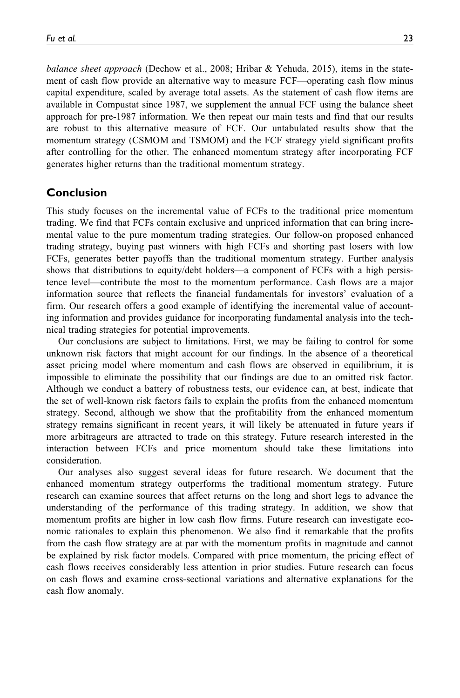balance sheet approach (Dechow et al., 2008; Hribar & Yehuda, 2015), items in the statement of cash flow provide an alternative way to measure FCF—operating cash flow minus capital expenditure, scaled by average total assets. As the statement of cash flow items are available in Compustat since 1987, we supplement the annual FCF using the balance sheet approach for pre-1987 information. We then repeat our main tests and find that our results are robust to this alternative measure of FCF. Our untabulated results show that the momentum strategy (CSMOM and TSMOM) and the FCF strategy yield significant profits after controlling for the other. The enhanced momentum strategy after incorporating FCF generates higher returns than the traditional momentum strategy.

## Conclusion

This study focuses on the incremental value of FCFs to the traditional price momentum trading. We find that FCFs contain exclusive and unpriced information that can bring incremental value to the pure momentum trading strategies. Our follow-on proposed enhanced trading strategy, buying past winners with high FCFs and shorting past losers with low FCFs, generates better payoffs than the traditional momentum strategy. Further analysis shows that distributions to equity/debt holders—a component of FCFs with a high persistence level—contribute the most to the momentum performance. Cash flows are a major information source that reflects the financial fundamentals for investors' evaluation of a firm. Our research offers a good example of identifying the incremental value of accounting information and provides guidance for incorporating fundamental analysis into the technical trading strategies for potential improvements.

Our conclusions are subject to limitations. First, we may be failing to control for some unknown risk factors that might account for our findings. In the absence of a theoretical asset pricing model where momentum and cash flows are observed in equilibrium, it is impossible to eliminate the possibility that our findings are due to an omitted risk factor. Although we conduct a battery of robustness tests, our evidence can, at best, indicate that the set of well-known risk factors fails to explain the profits from the enhanced momentum strategy. Second, although we show that the profitability from the enhanced momentum strategy remains significant in recent years, it will likely be attenuated in future years if more arbitrageurs are attracted to trade on this strategy. Future research interested in the interaction between FCFs and price momentum should take these limitations into consideration.

Our analyses also suggest several ideas for future research. We document that the enhanced momentum strategy outperforms the traditional momentum strategy. Future research can examine sources that affect returns on the long and short legs to advance the understanding of the performance of this trading strategy. In addition, we show that momentum profits are higher in low cash flow firms. Future research can investigate economic rationales to explain this phenomenon. We also find it remarkable that the profits from the cash flow strategy are at par with the momentum profits in magnitude and cannot be explained by risk factor models. Compared with price momentum, the pricing effect of cash flows receives considerably less attention in prior studies. Future research can focus on cash flows and examine cross-sectional variations and alternative explanations for the cash flow anomaly.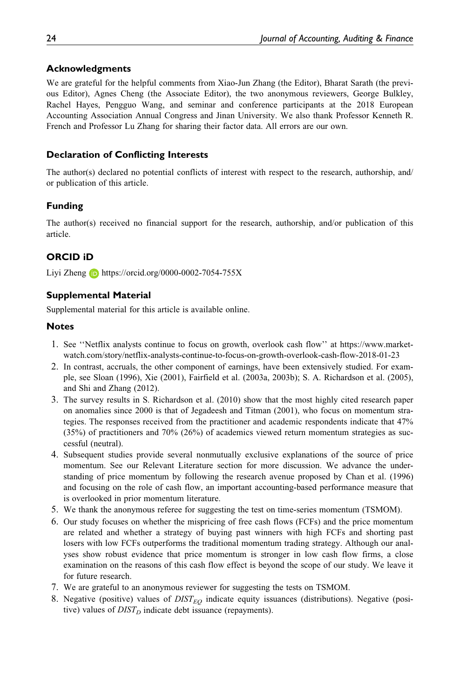#### Acknowledgments

We are grateful for the helpful comments from Xiao-Jun Zhang (the Editor), Bharat Sarath (the previous Editor), Agnes Cheng (the Associate Editor), the two anonymous reviewers, George Bulkley, Rachel Hayes, Pengguo Wang, and seminar and conference participants at the 2018 European Accounting Association Annual Congress and Jinan University. We also thank Professor Kenneth R. French and Professor Lu Zhang for sharing their factor data. All errors are our own.

#### Declaration of Conflicting Interests

The author(s) declared no potential conflicts of interest with respect to the research, authorship, and/ or publication of this article.

#### Funding

The author(s) received no financial support for the research, authorship, and/or publication of this article.

# ORCID iD

Liyi Zheng  $\Box$  <https://orcid.org/0000-0002-7054-755X>

## Supplemental Material

Supplemental material for this article is available online.

#### **Notes**

- 1. See ''Netflix analysts continue to focus on growth, overlook cash flow'' at [https://www.market](https://www.marketwatch.com/story/netflix-analysts-continue-to-focus-on-growth-overlook-cash-flow-2018-01-23)[watch.com/story/netflix-analysts-continue-to-focus-on-growth-overlook-cash-flow-2018-01-23](https://www.marketwatch.com/story/netflix-analysts-continue-to-focus-on-growth-overlook-cash-flow-2018-01-23)
- 2. In contrast, accruals, the other component of earnings, have been extensively studied. For example, see Sloan (1996), Xie (2001), Fairfield et al. (2003a, 2003b); S. A. Richardson et al. (2005), and Shi and Zhang (2012).
- 3. The survey results in S. Richardson et al. (2010) show that the most highly cited research paper on anomalies since 2000 is that of Jegadeesh and Titman (2001), who focus on momentum strategies. The responses received from the practitioner and academic respondents indicate that 47% (35%) of practitioners and 70% (26%) of academics viewed return momentum strategies as successful (neutral).
- 4. Subsequent studies provide several nonmutually exclusive explanations of the source of price momentum. See our Relevant Literature section for more discussion. We advance the understanding of price momentum by following the research avenue proposed by Chan et al. (1996) and focusing on the role of cash flow, an important accounting-based performance measure that is overlooked in prior momentum literature.
- 5. We thank the anonymous referee for suggesting the test on time-series momentum (TSMOM).
- 6. Our study focuses on whether the mispricing of free cash flows (FCFs) and the price momentum are related and whether a strategy of buying past winners with high FCFs and shorting past losers with low FCFs outperforms the traditional momentum trading strategy. Although our analyses show robust evidence that price momentum is stronger in low cash flow firms, a close examination on the reasons of this cash flow effect is beyond the scope of our study. We leave it for future research.
- 7. We are grateful to an anonymous reviewer for suggesting the tests on TSMOM.
- 8. Negative (positive) values of  $DIST_{EO}$  indicate equity issuances (distributions). Negative (positive) values of  $DIST_D$  indicate debt issuance (repayments).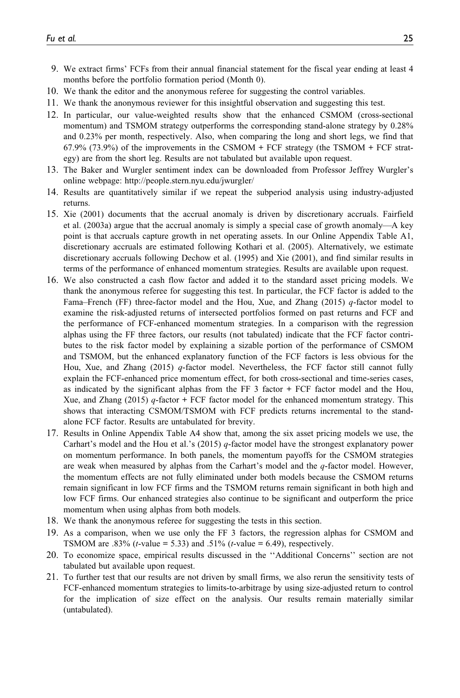- 9. We extract firms' FCFs from their annual financial statement for the fiscal year ending at least 4 months before the portfolio formation period (Month 0).
- 10. We thank the editor and the anonymous referee for suggesting the control variables.
- 11. We thank the anonymous reviewer for this insightful observation and suggesting this test.
- 12. In particular, our value-weighted results show that the enhanced CSMOM (cross-sectional momentum) and TSMOM strategy outperforms the corresponding stand-alone strategy by 0.28% and 0.23% per month, respectively. Also, when comparing the long and short legs, we find that 67.9% (73.9%) of the improvements in the CSMOM + FCF strategy (the TSMOM + FCF strategy) are from the short leg. Results are not tabulated but available upon request.
- 13. The Baker and Wurgler sentiment index can be downloaded from Professor Jeffrey Wurgler's online webpage:<http://people.stern.nyu.edu/jwurgler/>
- 14. Results are quantitatively similar if we repeat the subperiod analysis using industry-adjusted returns.
- 15. Xie (2001) documents that the accrual anomaly is driven by discretionary accruals. Fairfield et al. (2003a) argue that the accrual anomaly is simply a special case of growth anomaly—A key point is that accruals capture growth in net operating assets. In our Online Appendix Table A1, discretionary accruals are estimated following Kothari et al. (2005). Alternatively, we estimate discretionary accruals following Dechow et al. (1995) and Xie (2001), and find similar results in terms of the performance of enhanced momentum strategies. Results are available upon request.
- 16. We also constructed a cash flow factor and added it to the standard asset pricing models. We thank the anonymous referee for suggesting this test. In particular, the FCF factor is added to the Fama–French (FF) three-factor model and the Hou, Xue, and Zhang (2015)  $q$ -factor model to examine the risk-adjusted returns of intersected portfolios formed on past returns and FCF and the performance of FCF-enhanced momentum strategies. In a comparison with the regression alphas using the FF three factors, our results (not tabulated) indicate that the FCF factor contributes to the risk factor model by explaining a sizable portion of the performance of CSMOM and TSMOM, but the enhanced explanatory function of the FCF factors is less obvious for the Hou, Xue, and Zhang (2015)  $q$ -factor model. Nevertheless, the FCF factor still cannot fully explain the FCF-enhanced price momentum effect, for both cross-sectional and time-series cases, as indicated by the significant alphas from the FF 3 factor + FCF factor model and the Hou, Xue, and Zhang (2015)  $q$ -factor + FCF factor model for the enhanced momentum strategy. This shows that interacting CSMOM/TSMOM with FCF predicts returns incremental to the standalone FCF factor. Results are untabulated for brevity.
- 17. Results in Online Appendix Table A4 show that, among the six asset pricing models we use, the Carhart's model and the Hou et al.'s (2015) q-factor model have the strongest explanatory power on momentum performance. In both panels, the momentum payoffs for the CSMOM strategies are weak when measured by alphas from the Carhart's model and the  $q$ -factor model. However, the momentum effects are not fully eliminated under both models because the CSMOM returns remain significant in low FCF firms and the TSMOM returns remain significant in both high and low FCF firms. Our enhanced strategies also continue to be significant and outperform the price momentum when using alphas from both models.
- 18. We thank the anonymous referee for suggesting the tests in this section.
- 19. As a comparison, when we use only the FF 3 factors, the regression alphas for CSMOM and TSMOM are .83% (*t*-value = 5.33) and .51% (*t*-value = 6.49), respectively.
- 20. To economize space, empirical results discussed in the ''Additional Concerns'' section are not tabulated but available upon request.
- 21. To further test that our results are not driven by small firms, we also rerun the sensitivity tests of FCF-enhanced momentum strategies to limits-to-arbitrage by using size-adjusted return to control for the implication of size effect on the analysis. Our results remain materially similar (untabulated).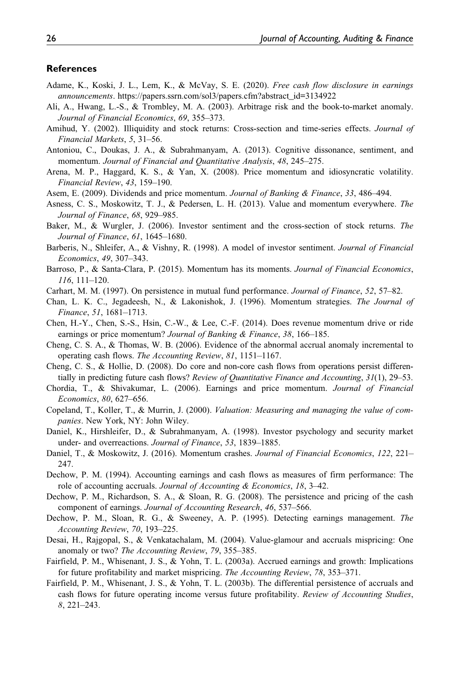#### References

- Adame, K., Koski, J. L., Lem, K., & McVay, S. E. (2020). Free cash flow disclosure in earnings announcements. [https://papers.ssrn.com/sol3/papers.cfm?abstract\\_id=3134922](https://papers.ssrn.com/sol3/papers.cfm?abstract_id=3134922)
- Ali, A., Hwang, L.-S., & Trombley, M. A. (2003). Arbitrage risk and the book-to-market anomaly. Journal of Financial Economics, 69, 355–373.
- Amihud, Y. (2002). Illiquidity and stock returns: Cross-section and time-series effects. Journal of Financial Markets, 5, 31–56.
- Antoniou, C., Doukas, J. A., & Subrahmanyam, A. (2013). Cognitive dissonance, sentiment, and momentum. Journal of Financial and Quantitative Analysis, 48, 245–275.
- Arena, M. P., Haggard, K. S., & Yan, X. (2008). Price momentum and idiosyncratic volatility. Financial Review, 43, 159–190.
- Asem, E. (2009). Dividends and price momentum. Journal of Banking & Finance, 33, 486–494.
- Asness, C. S., Moskowitz, T. J., & Pedersen, L. H. (2013). Value and momentum everywhere. The Journal of Finance, 68, 929–985.
- Baker, M., & Wurgler, J. (2006). Investor sentiment and the cross-section of stock returns. The Journal of Finance, 61, 1645–1680.
- Barberis, N., Shleifer, A., & Vishny, R. (1998). A model of investor sentiment. Journal of Financial Economics, 49, 307–343.
- Barroso, P., & Santa-Clara, P. (2015). Momentum has its moments. Journal of Financial Economics, 116, 111–120.
- Carhart, M. M. (1997). On persistence in mutual fund performance. Journal of Finance, 52, 57–82.
- Chan, L. K. C., Jegadeesh, N., & Lakonishok, J. (1996). Momentum strategies. The Journal of Finance, 51, 1681–1713.
- Chen, H.-Y., Chen, S.-S., Hsin, C.-W., & Lee, C.-F. (2014). Does revenue momentum drive or ride earnings or price momentum? Journal of Banking & Finance, 38, 166–185.
- Cheng, C. S. A., & Thomas, W. B. (2006). Evidence of the abnormal accrual anomaly incremental to operating cash flows. The Accounting Review, 81, 1151–1167.
- Cheng, C. S., & Hollie, D. (2008). Do core and non-core cash flows from operations persist differentially in predicting future cash flows? Review of Quantitative Finance and Accounting, 31(1), 29–53.
- Chordia, T., & Shivakumar, L. (2006). Earnings and price momentum. Journal of Financial Economics, 80, 627–656.
- Copeland, T., Koller, T., & Murrin, J. (2000). Valuation: Measuring and managing the value of companies. New York, NY: John Wiley.
- Daniel, K., Hirshleifer, D., & Subrahmanyam, A. (1998). Investor psychology and security market under- and overreactions. Journal of Finance, 53, 1839–1885.
- Daniel, T., & Moskowitz, J. (2016). Momentum crashes. Journal of Financial Economics, 122, 221– 247.
- Dechow, P. M. (1994). Accounting earnings and cash flows as measures of firm performance: The role of accounting accruals. Journal of Accounting & Economics, 18, 3–42.
- Dechow, P. M., Richardson, S. A., & Sloan, R. G. (2008). The persistence and pricing of the cash component of earnings. Journal of Accounting Research, 46, 537–566.
- Dechow, P. M., Sloan, R. G., & Sweeney, A. P. (1995). Detecting earnings management. The Accounting Review, 70, 193–225.
- Desai, H., Rajgopal, S., & Venkatachalam, M. (2004). Value-glamour and accruals mispricing: One anomaly or two? The Accounting Review, 79, 355–385.
- Fairfield, P. M., Whisenant, J. S., & Yohn, T. L. (2003a). Accrued earnings and growth: Implications for future profitability and market mispricing. The Accounting Review, 78, 353–371.
- Fairfield, P. M., Whisenant, J. S., & Yohn, T. L. (2003b). The differential persistence of accruals and cash flows for future operating income versus future profitability. Review of Accounting Studies, 8, 221–243.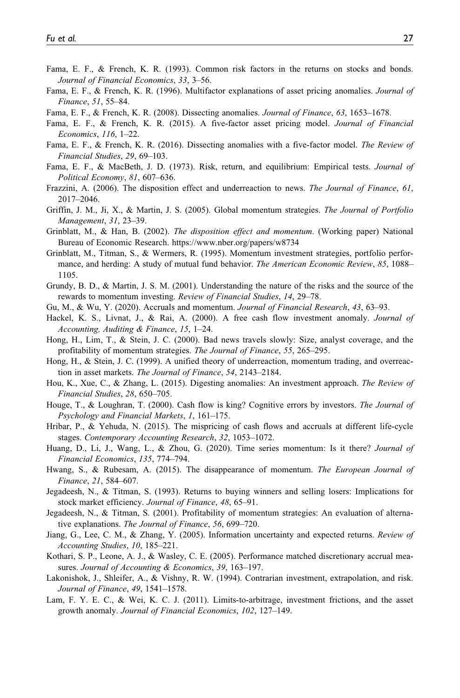- Fama, E. F., & French, K. R. (1993). Common risk factors in the returns on stocks and bonds. Journal of Financial Economics, 33, 3–56.
- Fama, E. F., & French, K. R. (1996). Multifactor explanations of asset pricing anomalies. Journal of Finance, 51, 55–84.
- Fama, E. F., & French, K. R. (2008). Dissecting anomalies. Journal of Finance, 63, 1653–1678.
- Fama, E. F., & French, K. R. (2015). A five-factor asset pricing model. Journal of Financial Economics, 116, 1–22.
- Fama, E. F., & French, K. R. (2016). Dissecting anomalies with a five-factor model. The Review of Financial Studies, 29, 69–103.
- Fama, E. F., & MacBeth, J. D. (1973). Risk, return, and equilibrium: Empirical tests. Journal of Political Economy, 81, 607–636.
- Frazzini, A. (2006). The disposition effect and underreaction to news. The Journal of Finance, 61, 2017–2046.
- Griffin, J. M., Ji, X., & Martin, J. S. (2005). Global momentum strategies. The Journal of Portfolio Management, 31, 23–39.
- Grinblatt, M., & Han, B. (2002). The disposition effect and momentum. (Working paper) National Bureau of Economic Research. https://www.nber.org/papers/w8734
- Grinblatt, M., Titman, S., & Wermers, R. (1995). Momentum investment strategies, portfolio performance, and herding: A study of mutual fund behavior. The American Economic Review, 85, 1088– 1105.
- Grundy, B. D., & Martin, J. S. M. (2001). Understanding the nature of the risks and the source of the rewards to momentum investing. Review of Financial Studies, 14, 29–78.
- Gu, M., & Wu, Y. (2020). Accruals and momentum. Journal of Financial Research, 43, 63–93.
- Hackel, K. S., Livnat, J., & Rai, A. (2000). A free cash flow investment anomaly. Journal of Accounting, Auditing & Finance, 15, 1–24.
- Hong, H., Lim, T., & Stein, J. C. (2000). Bad news travels slowly: Size, analyst coverage, and the profitability of momentum strategies. *The Journal of Finance*, 55, 265–295.
- Hong, H., & Stein, J. C. (1999). A unified theory of underreaction, momentum trading, and overreaction in asset markets. The Journal of Finance, 54, 2143–2184.
- Hou, K., Xue, C., & Zhang, L. (2015). Digesting anomalies: An investment approach. The Review of Financial Studies, 28, 650–705.
- Houge, T., & Loughran, T. (2000). Cash flow is king? Cognitive errors by investors. The Journal of Psychology and Financial Markets, 1, 161–175.
- Hribar, P., & Yehuda, N. (2015). The mispricing of cash flows and accruals at different life-cycle stages. Contemporary Accounting Research, 32, 1053–1072.
- Huang, D., Li, J., Wang, L., & Zhou, G. (2020). Time series momentum: Is it there? *Journal of* Financial Economics, 135, 774–794.
- Hwang, S., & Rubesam, A. (2015). The disappearance of momentum. The European Journal of Finance, 21, 584–607.
- Jegadeesh, N., & Titman, S. (1993). Returns to buying winners and selling losers: Implications for stock market efficiency. Journal of Finance, 48, 65–91.
- Jegadeesh, N., & Titman, S. (2001). Profitability of momentum strategies: An evaluation of alternative explanations. The Journal of Finance, 56, 699-720.
- Jiang, G., Lee, C. M., & Zhang, Y. (2005). Information uncertainty and expected returns. Review of Accounting Studies, 10, 185–221.
- Kothari, S. P., Leone, A. J., & Wasley, C. E. (2005). Performance matched discretionary accrual measures. Journal of Accounting & Economics, 39, 163–197.
- Lakonishok, J., Shleifer, A., & Vishny, R. W. (1994). Contrarian investment, extrapolation, and risk. Journal of Finance, 49, 1541–1578.
- Lam, F. Y. E. C., & Wei, K. C. J. (2011). Limits-to-arbitrage, investment frictions, and the asset growth anomaly. Journal of Financial Economics, 102, 127–149.